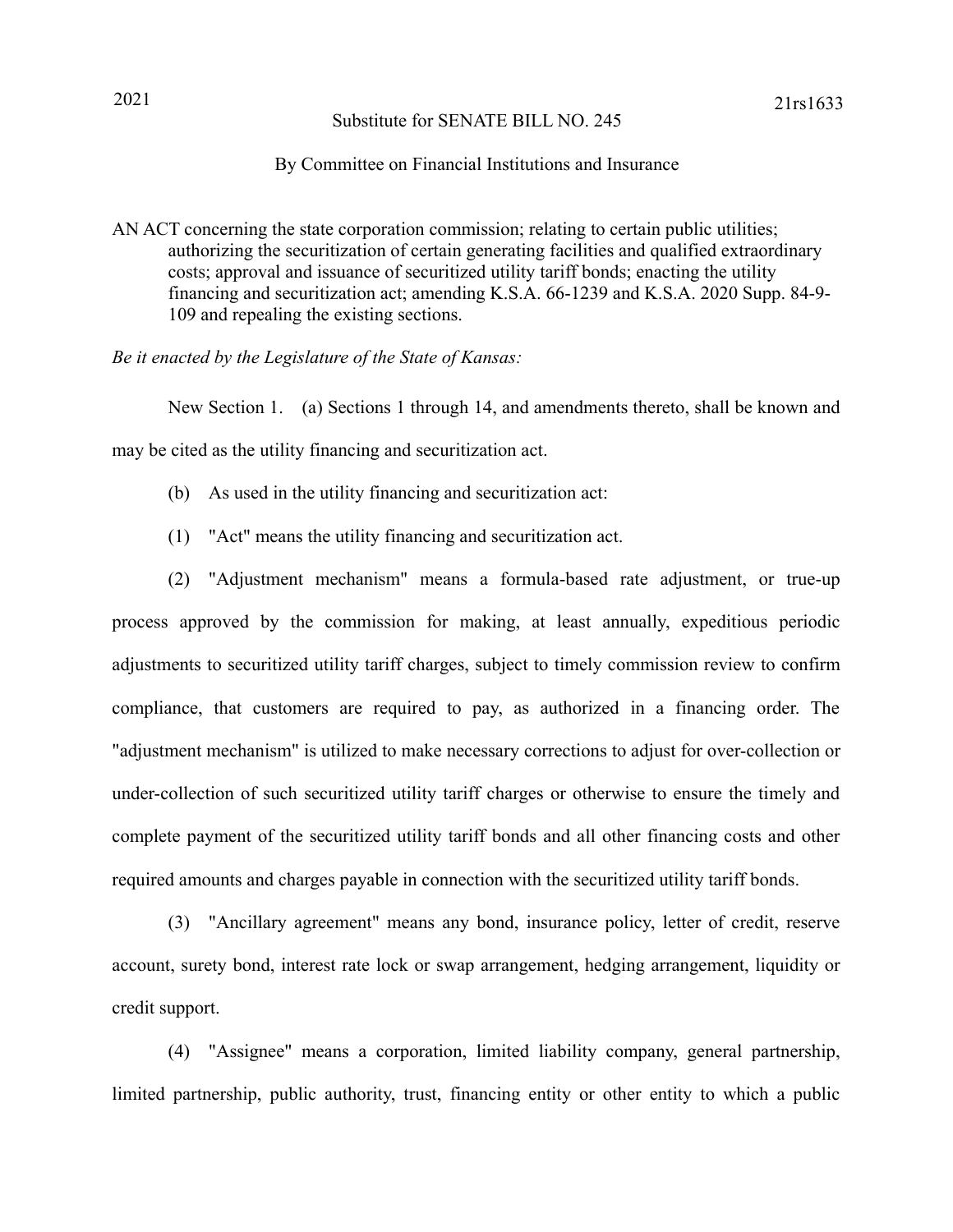## Substitute for SENATE BILL NO. 245

## By Committee on Financial Institutions and Insurance

AN ACT concerning the state corporation commission; relating to certain public utilities; authorizing the securitization of certain generating facilities and qualified extraordinary costs; approval and issuance of securitized utility tariff bonds; enacting the utility financing and securitization act; amending K.S.A. 66-1239 and K.S.A. 2020 Supp. 84-9- 109 and repealing the existing sections.

*Be it enacted by the Legislature of the State of Kansas:*

New Section 1. (a) Sections 1 through 14, and amendments thereto, shall be known and may be cited as the utility financing and securitization act.

- (b) As used in the utility financing and securitization act:
- (1) "Act" means the utility financing and securitization act.

(2) "Adjustment mechanism" means a formula-based rate adjustment, or true-up process approved by the commission for making, at least annually, expeditious periodic adjustments to securitized utility tariff charges, subject to timely commission review to confirm compliance, that customers are required to pay, as authorized in a financing order. The "adjustment mechanism" is utilized to make necessary corrections to adjust for over-collection or under-collection of such securitized utility tariff charges or otherwise to ensure the timely and complete payment of the securitized utility tariff bonds and all other financing costs and other required amounts and charges payable in connection with the securitized utility tariff bonds.

(3) "Ancillary agreement" means any bond, insurance policy, letter of credit, reserve account, surety bond, interest rate lock or swap arrangement, hedging arrangement, liquidity or credit support.

(4) "Assignee" means a corporation, limited liability company, general partnership, limited partnership, public authority, trust, financing entity or other entity to which a public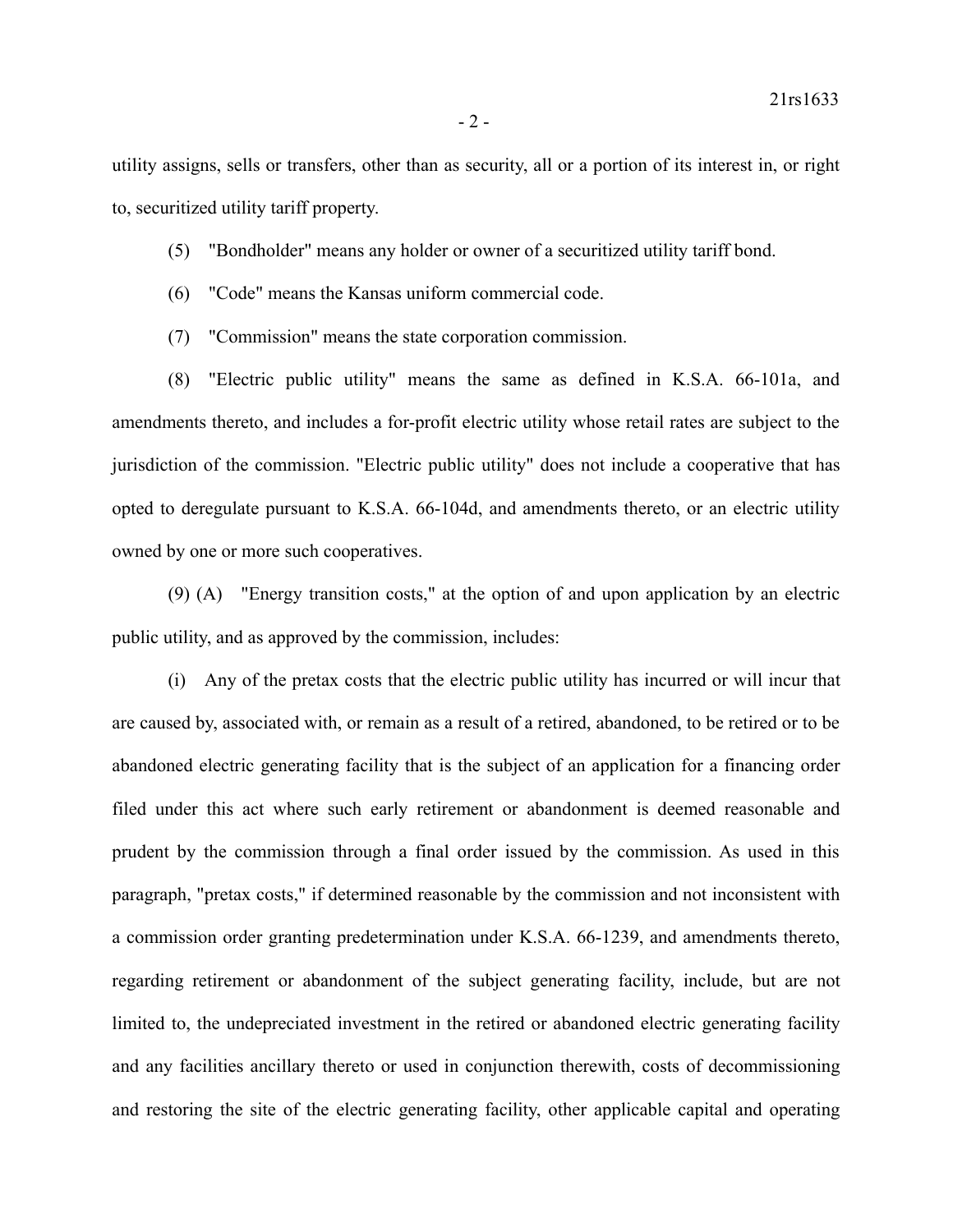utility assigns, sells or transfers, other than as security, all or a portion of its interest in, or right to, securitized utility tariff property.

- (5) "Bondholder" means any holder or owner of a securitized utility tariff bond.
- (6) "Code" means the Kansas uniform commercial code.
- (7) "Commission" means the state corporation commission.

(8) "Electric public utility" means the same as defined in K.S.A. 66-101a, and amendments thereto, and includes a for-profit electric utility whose retail rates are subject to the jurisdiction of the commission. "Electric public utility" does not include a cooperative that has opted to deregulate pursuant to K.S.A. 66-104d, and amendments thereto, or an electric utility owned by one or more such cooperatives.

(9) (A) "Energy transition costs," at the option of and upon application by an electric public utility, and as approved by the commission, includes:

(i) Any of the pretax costs that the electric public utility has incurred or will incur that are caused by, associated with, or remain as a result of a retired, abandoned, to be retired or to be abandoned electric generating facility that is the subject of an application for a financing order filed under this act where such early retirement or abandonment is deemed reasonable and prudent by the commission through a final order issued by the commission. As used in this paragraph, "pretax costs," if determined reasonable by the commission and not inconsistent with a commission order granting predetermination under K.S.A. 66-1239, and amendments thereto, regarding retirement or abandonment of the subject generating facility, include, but are not limited to, the undepreciated investment in the retired or abandoned electric generating facility and any facilities ancillary thereto or used in conjunction therewith, costs of decommissioning and restoring the site of the electric generating facility, other applicable capital and operating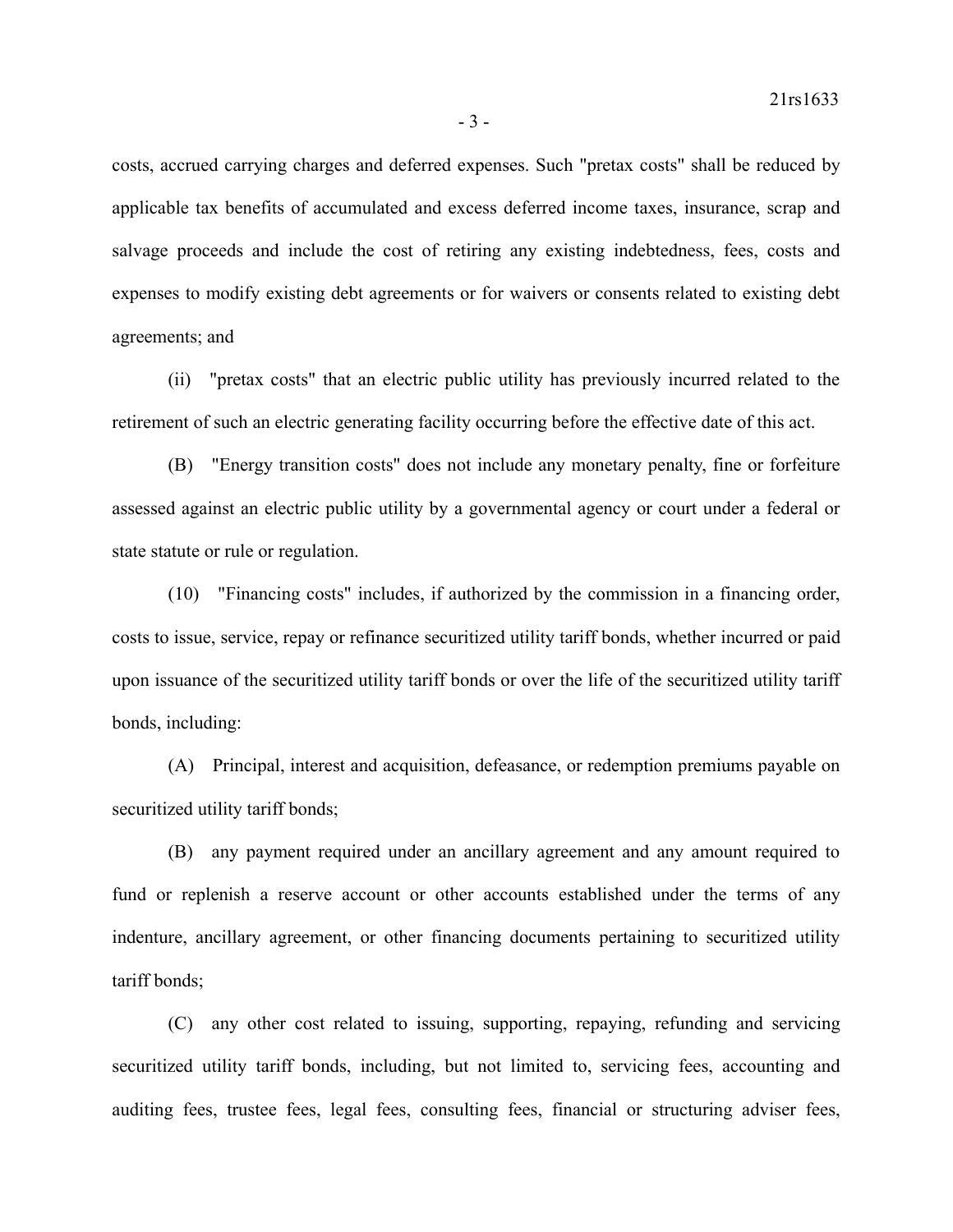costs, accrued carrying charges and deferred expenses. Such "pretax costs" shall be reduced by applicable tax benefits of accumulated and excess deferred income taxes, insurance, scrap and salvage proceeds and include the cost of retiring any existing indebtedness, fees, costs and expenses to modify existing debt agreements or for waivers or consents related to existing debt agreements; and

(ii) "pretax costs" that an electric public utility has previously incurred related to the retirement of such an electric generating facility occurring before the effective date of this act.

(B) "Energy transition costs" does not include any monetary penalty, fine or forfeiture assessed against an electric public utility by a governmental agency or court under a federal or state statute or rule or regulation.

(10) "Financing costs" includes, if authorized by the commission in a financing order, costs to issue, service, repay or refinance securitized utility tariff bonds, whether incurred or paid upon issuance of the securitized utility tariff bonds or over the life of the securitized utility tariff bonds, including:

(A) Principal, interest and acquisition, defeasance, or redemption premiums payable on securitized utility tariff bonds;

(B) any payment required under an ancillary agreement and any amount required to fund or replenish a reserve account or other accounts established under the terms of any indenture, ancillary agreement, or other financing documents pertaining to securitized utility tariff bonds;

(C) any other cost related to issuing, supporting, repaying, refunding and servicing securitized utility tariff bonds, including, but not limited to, servicing fees, accounting and auditing fees, trustee fees, legal fees, consulting fees, financial or structuring adviser fees,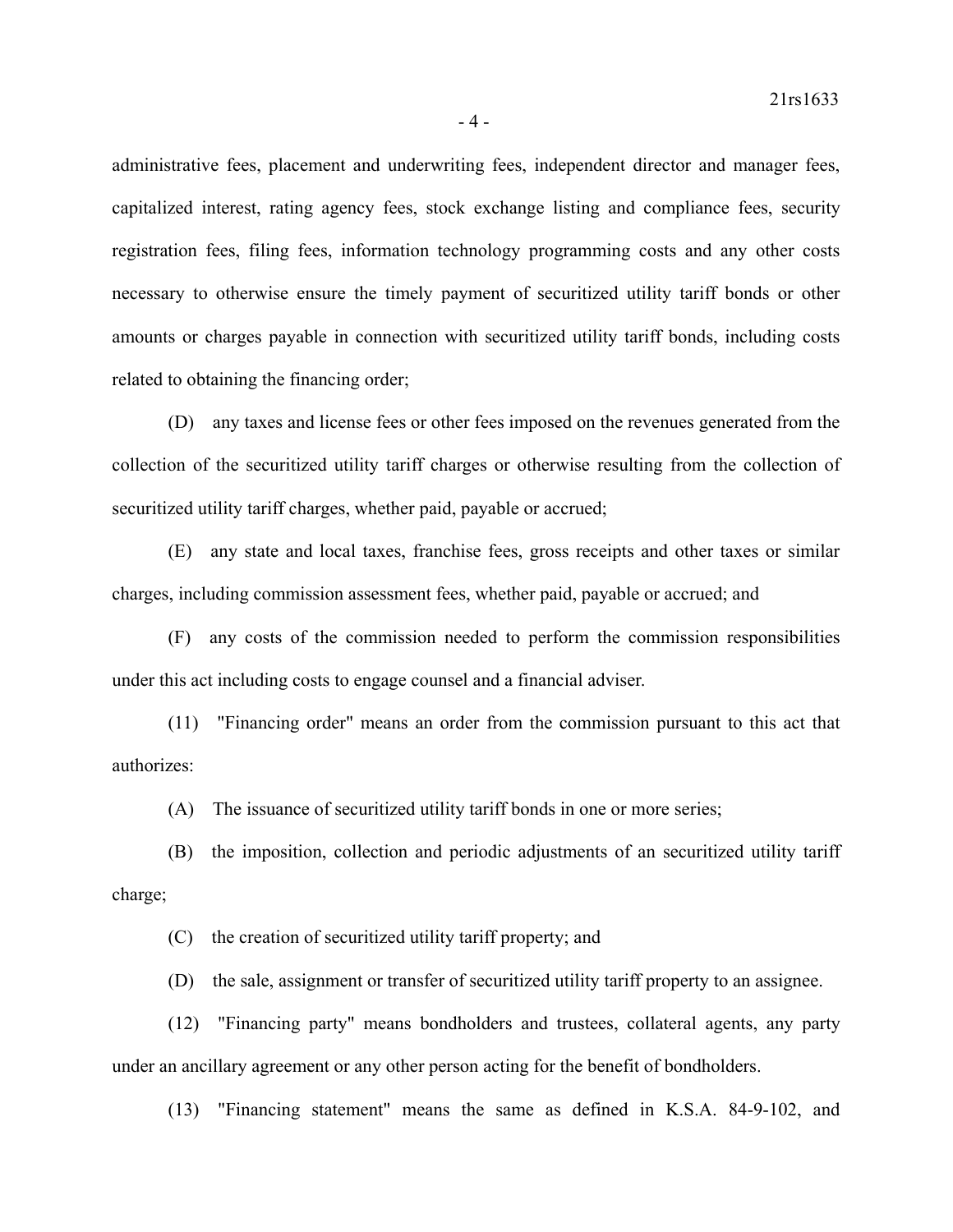administrative fees, placement and underwriting fees, independent director and manager fees, capitalized interest, rating agency fees, stock exchange listing and compliance fees, security registration fees, filing fees, information technology programming costs and any other costs necessary to otherwise ensure the timely payment of securitized utility tariff bonds or other amounts or charges payable in connection with securitized utility tariff bonds, including costs related to obtaining the financing order;

(D) any taxes and license fees or other fees imposed on the revenues generated from the collection of the securitized utility tariff charges or otherwise resulting from the collection of securitized utility tariff charges, whether paid, payable or accrued;

(E) any state and local taxes, franchise fees, gross receipts and other taxes or similar charges, including commission assessment fees, whether paid, payable or accrued; and

(F) any costs of the commission needed to perform the commission responsibilities under this act including costs to engage counsel and a financial adviser.

(11) "Financing order" means an order from the commission pursuant to this act that authorizes:

(A) The issuance of securitized utility tariff bonds in one or more series;

(B) the imposition, collection and periodic adjustments of an securitized utility tariff charge;

(C) the creation of securitized utility tariff property; and

(D) the sale, assignment or transfer of securitized utility tariff property to an assignee.

(12) "Financing party" means bondholders and trustees, collateral agents, any party under an ancillary agreement or any other person acting for the benefit of bondholders.

(13) "Financing statement" means the same as defined in K.S.A. 84-9-102, and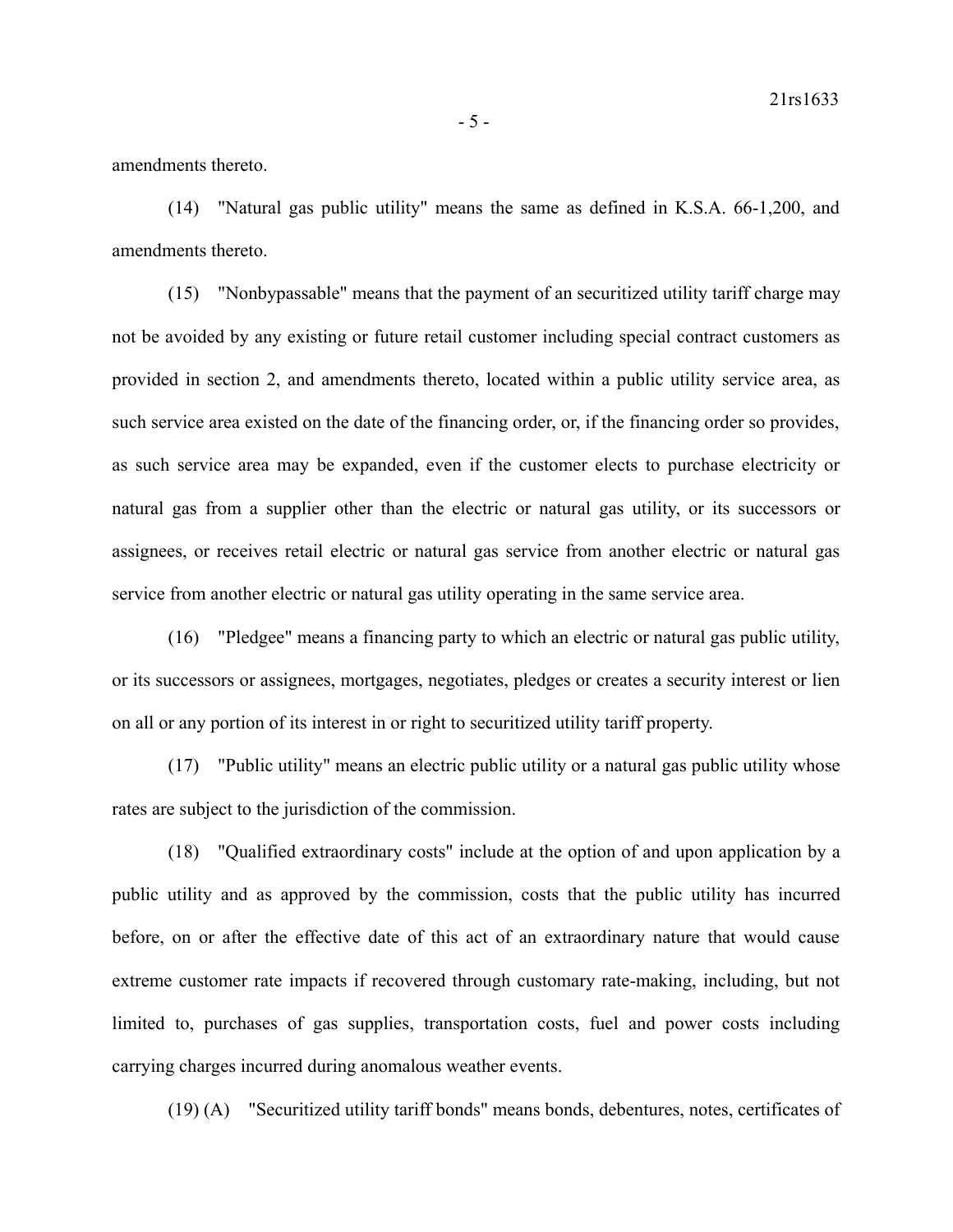amendments thereto.

(14) "Natural gas public utility" means the same as defined in K.S.A. 66-1,200, and amendments thereto.

(15) "Nonbypassable" means that the payment of an securitized utility tariff charge may not be avoided by any existing or future retail customer including special contract customers as provided in section 2, and amendments thereto, located within a public utility service area, as such service area existed on the date of the financing order, or, if the financing order so provides, as such service area may be expanded, even if the customer elects to purchase electricity or natural gas from a supplier other than the electric or natural gas utility, or its successors or assignees, or receives retail electric or natural gas service from another electric or natural gas service from another electric or natural gas utility operating in the same service area.

(16) "Pledgee" means a financing party to which an electric or natural gas public utility, or its successors or assignees, mortgages, negotiates, pledges or creates a security interest or lien on all or any portion of its interest in or right to securitized utility tariff property.

(17) "Public utility" means an electric public utility or a natural gas public utility whose rates are subject to the jurisdiction of the commission.

(18) "Qualified extraordinary costs" include at the option of and upon application by a public utility and as approved by the commission, costs that the public utility has incurred before, on or after the effective date of this act of an extraordinary nature that would cause extreme customer rate impacts if recovered through customary rate-making, including, but not limited to, purchases of gas supplies, transportation costs, fuel and power costs including carrying charges incurred during anomalous weather events.

(19) (A) "Securitized utility tariff bonds" means bonds, debentures, notes, certificates of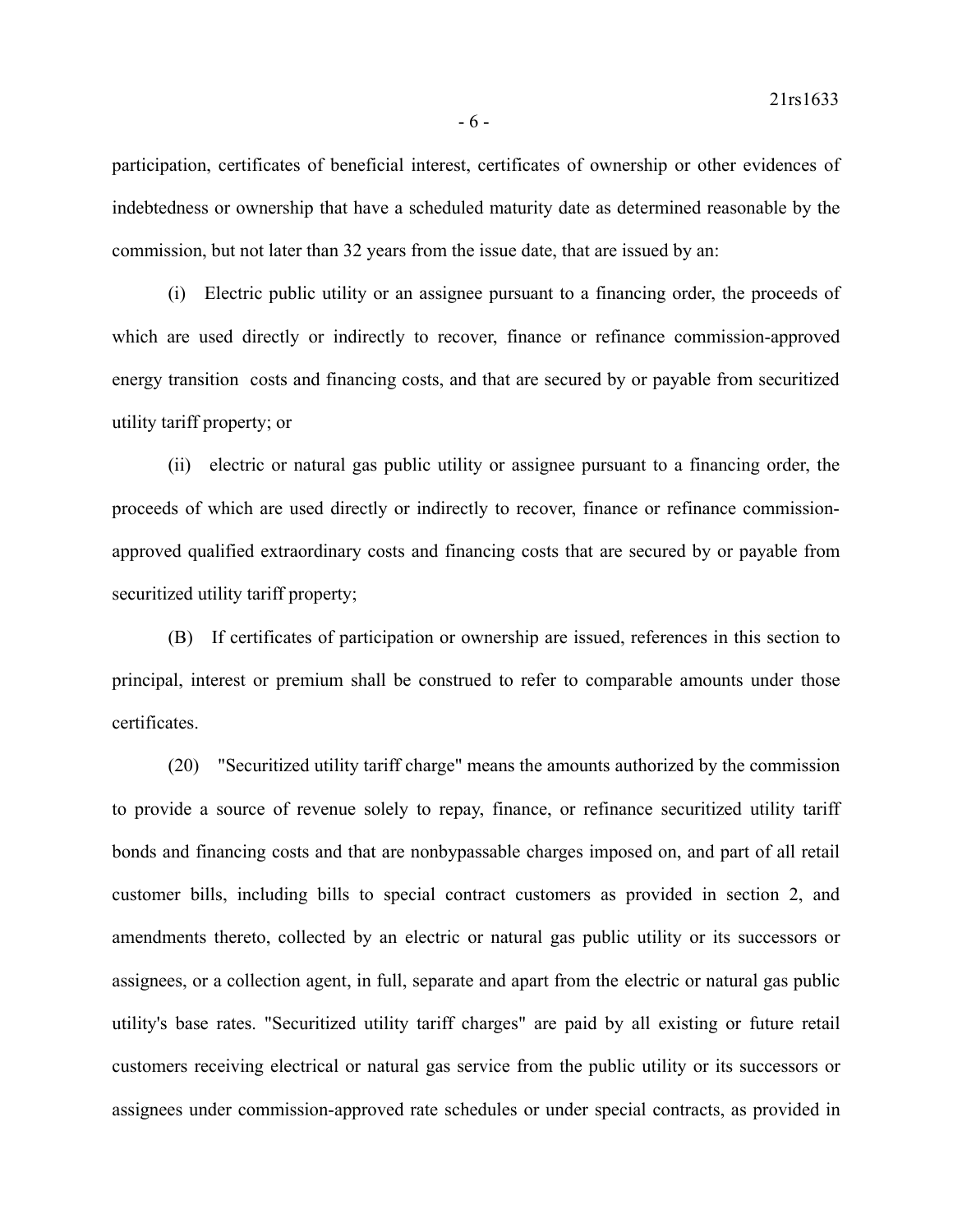participation, certificates of beneficial interest, certificates of ownership or other evidences of indebtedness or ownership that have a scheduled maturity date as determined reasonable by the commission, but not later than 32 years from the issue date, that are issued by an:

(i) Electric public utility or an assignee pursuant to a financing order, the proceeds of which are used directly or indirectly to recover, finance or refinance commission-approved energy transition costs and financing costs, and that are secured by or payable from securitized utility tariff property; or

(ii) electric or natural gas public utility or assignee pursuant to a financing order, the proceeds of which are used directly or indirectly to recover, finance or refinance commissionapproved qualified extraordinary costs and financing costs that are secured by or payable from securitized utility tariff property;

(B) If certificates of participation or ownership are issued, references in this section to principal, interest or premium shall be construed to refer to comparable amounts under those certificates.

(20) "Securitized utility tariff charge" means the amounts authorized by the commission to provide a source of revenue solely to repay, finance, or refinance securitized utility tariff bonds and financing costs and that are nonbypassable charges imposed on, and part of all retail customer bills, including bills to special contract customers as provided in section 2, and amendments thereto, collected by an electric or natural gas public utility or its successors or assignees, or a collection agent, in full, separate and apart from the electric or natural gas public utility's base rates. "Securitized utility tariff charges" are paid by all existing or future retail customers receiving electrical or natural gas service from the public utility or its successors or assignees under commission-approved rate schedules or under special contracts, as provided in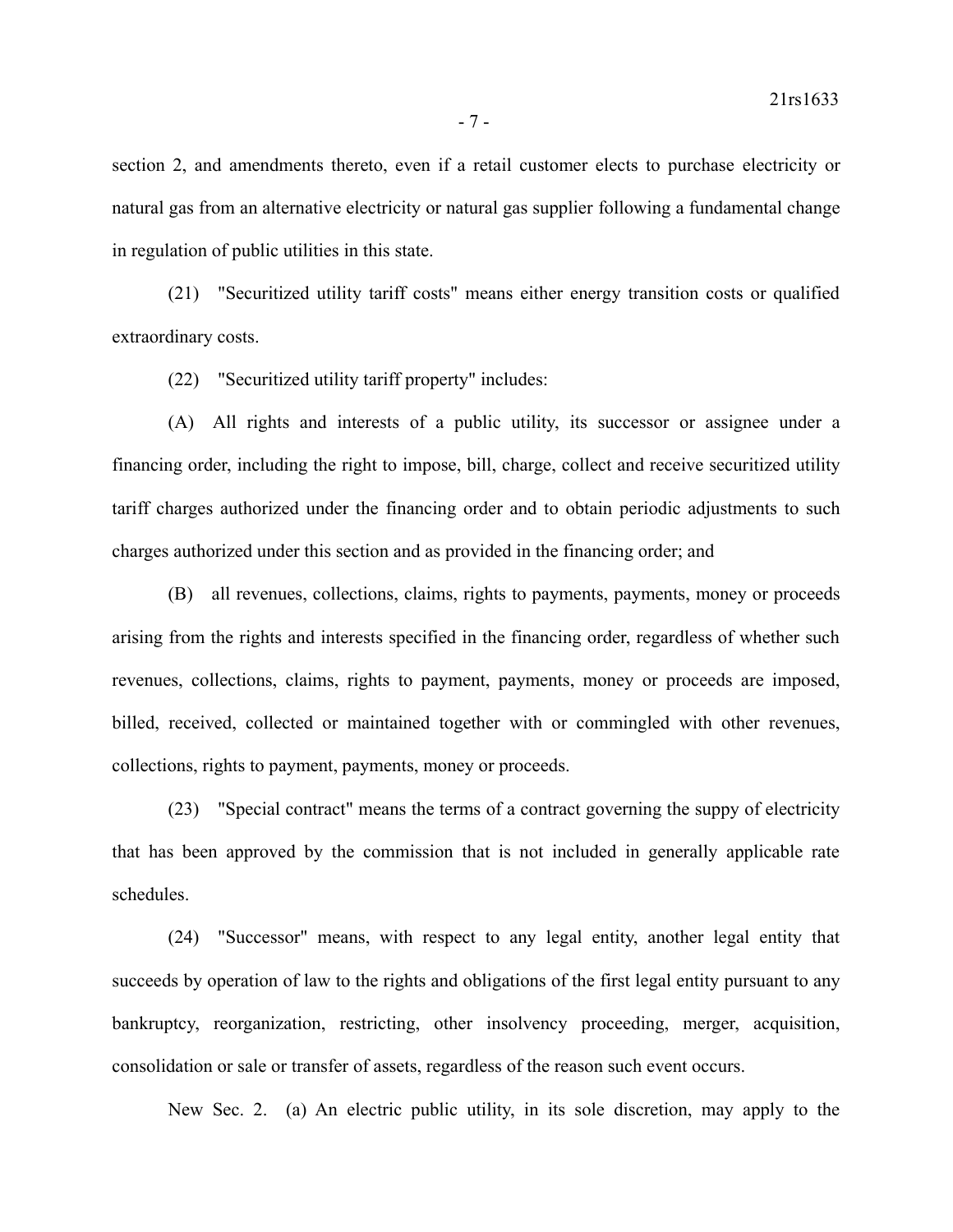section 2, and amendments thereto, even if a retail customer elects to purchase electricity or natural gas from an alternative electricity or natural gas supplier following a fundamental change in regulation of public utilities in this state.

(21) "Securitized utility tariff costs" means either energy transition costs or qualified extraordinary costs.

(22) "Securitized utility tariff property" includes:

(A) All rights and interests of a public utility, its successor or assignee under a financing order, including the right to impose, bill, charge, collect and receive securitized utility tariff charges authorized under the financing order and to obtain periodic adjustments to such charges authorized under this section and as provided in the financing order; and

(B) all revenues, collections, claims, rights to payments, payments, money or proceeds arising from the rights and interests specified in the financing order, regardless of whether such revenues, collections, claims, rights to payment, payments, money or proceeds are imposed, billed, received, collected or maintained together with or commingled with other revenues, collections, rights to payment, payments, money or proceeds.

(23) "Special contract" means the terms of a contract governing the suppy of electricity that has been approved by the commission that is not included in generally applicable rate schedules.

(24) "Successor" means, with respect to any legal entity, another legal entity that succeeds by operation of law to the rights and obligations of the first legal entity pursuant to any bankruptcy, reorganization, restricting, other insolvency proceeding, merger, acquisition, consolidation or sale or transfer of assets, regardless of the reason such event occurs.

New Sec. 2. (a) An electric public utility, in its sole discretion, may apply to the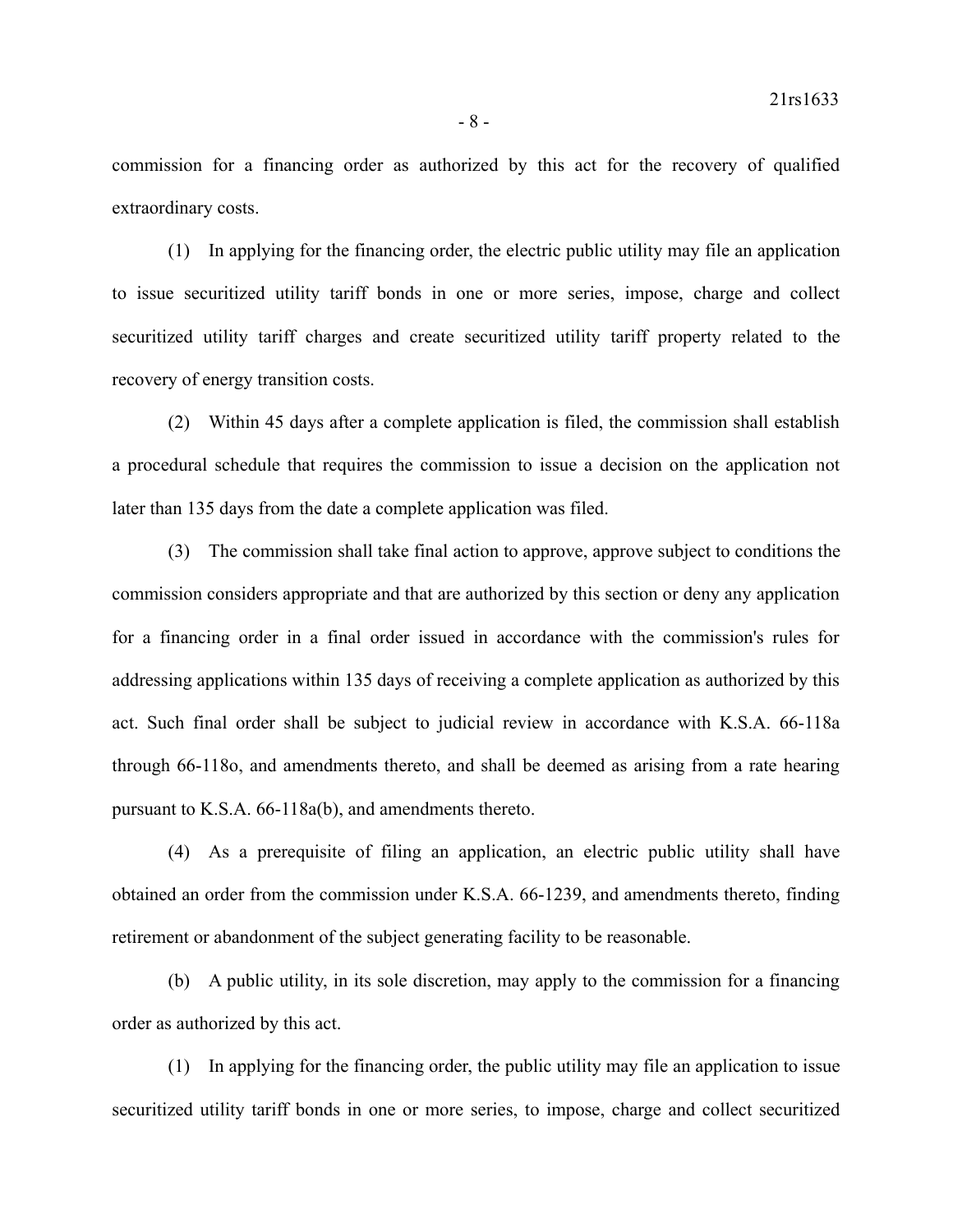commission for a financing order as authorized by this act for the recovery of qualified extraordinary costs.

(1) In applying for the financing order, the electric public utility may file an application to issue securitized utility tariff bonds in one or more series, impose, charge and collect securitized utility tariff charges and create securitized utility tariff property related to the recovery of energy transition costs.

(2) Within 45 days after a complete application is filed, the commission shall establish a procedural schedule that requires the commission to issue a decision on the application not later than 135 days from the date a complete application was filed.

(3) The commission shall take final action to approve, approve subject to conditions the commission considers appropriate and that are authorized by this section or deny any application for a financing order in a final order issued in accordance with the commission's rules for addressing applications within 135 days of receiving a complete application as authorized by this act. Such final order shall be subject to judicial review in accordance with K.S.A. 66-118a through 66-118o, and amendments thereto, and shall be deemed as arising from a rate hearing pursuant to K.S.A. 66-118a(b), and amendments thereto.

(4) As a prerequisite of filing an application, an electric public utility shall have obtained an order from the commission under K.S.A. 66-1239, and amendments thereto, finding retirement or abandonment of the subject generating facility to be reasonable.

(b) A public utility, in its sole discretion, may apply to the commission for a financing order as authorized by this act.

(1) In applying for the financing order, the public utility may file an application to issue securitized utility tariff bonds in one or more series, to impose, charge and collect securitized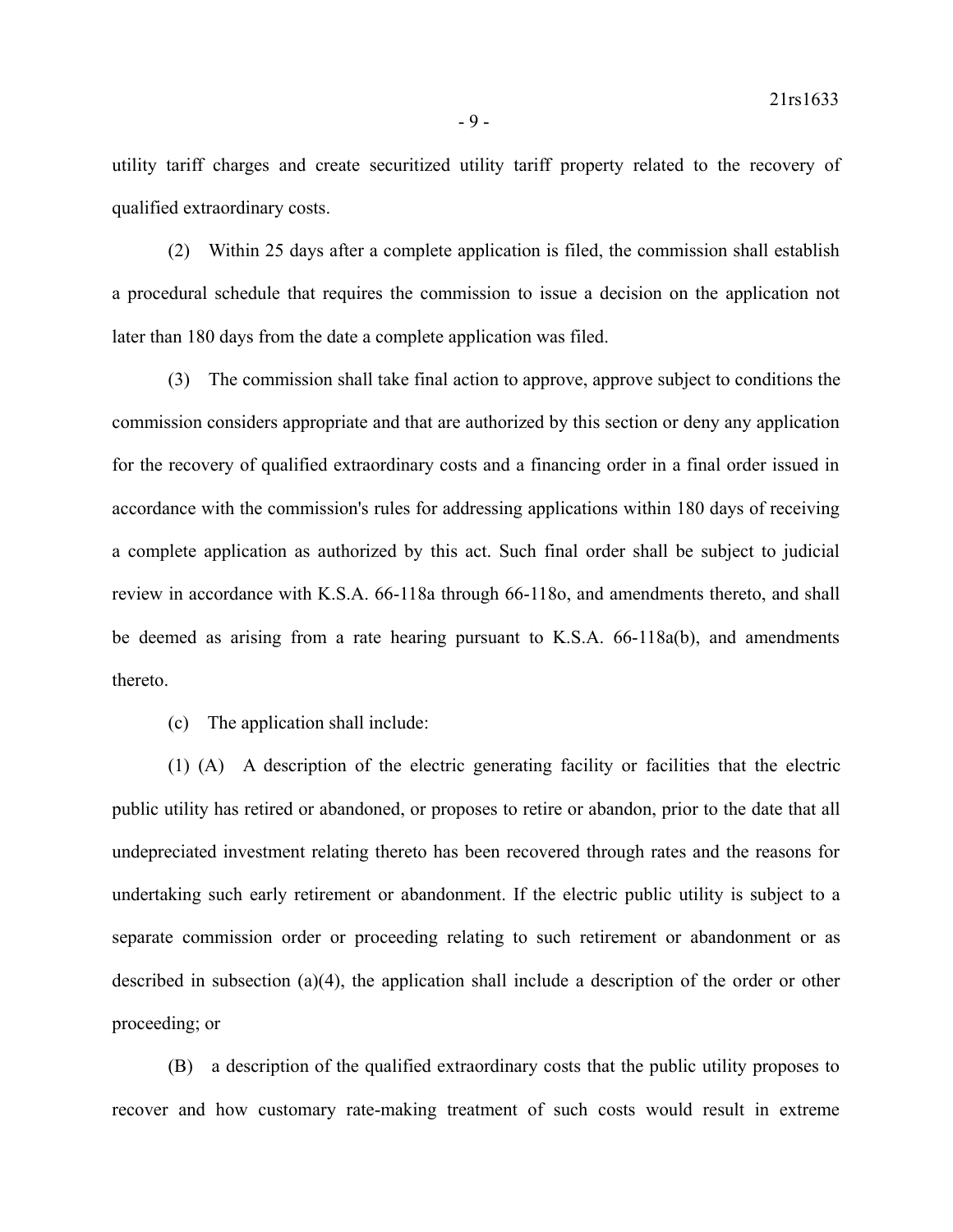utility tariff charges and create securitized utility tariff property related to the recovery of qualified extraordinary costs.

(2) Within 25 days after a complete application is filed, the commission shall establish a procedural schedule that requires the commission to issue a decision on the application not later than 180 days from the date a complete application was filed.

(3) The commission shall take final action to approve, approve subject to conditions the commission considers appropriate and that are authorized by this section or deny any application for the recovery of qualified extraordinary costs and a financing order in a final order issued in accordance with the commission's rules for addressing applications within 180 days of receiving a complete application as authorized by this act. Such final order shall be subject to judicial review in accordance with K.S.A. 66-118a through 66-118o, and amendments thereto, and shall be deemed as arising from a rate hearing pursuant to K.S.A. 66-118a(b), and amendments thereto.

(c) The application shall include:

(1) (A) A description of the electric generating facility or facilities that the electric public utility has retired or abandoned, or proposes to retire or abandon, prior to the date that all undepreciated investment relating thereto has been recovered through rates and the reasons for undertaking such early retirement or abandonment. If the electric public utility is subject to a separate commission order or proceeding relating to such retirement or abandonment or as described in subsection (a)(4), the application shall include a description of the order or other proceeding; or

(B) a description of the qualified extraordinary costs that the public utility proposes to recover and how customary rate-making treatment of such costs would result in extreme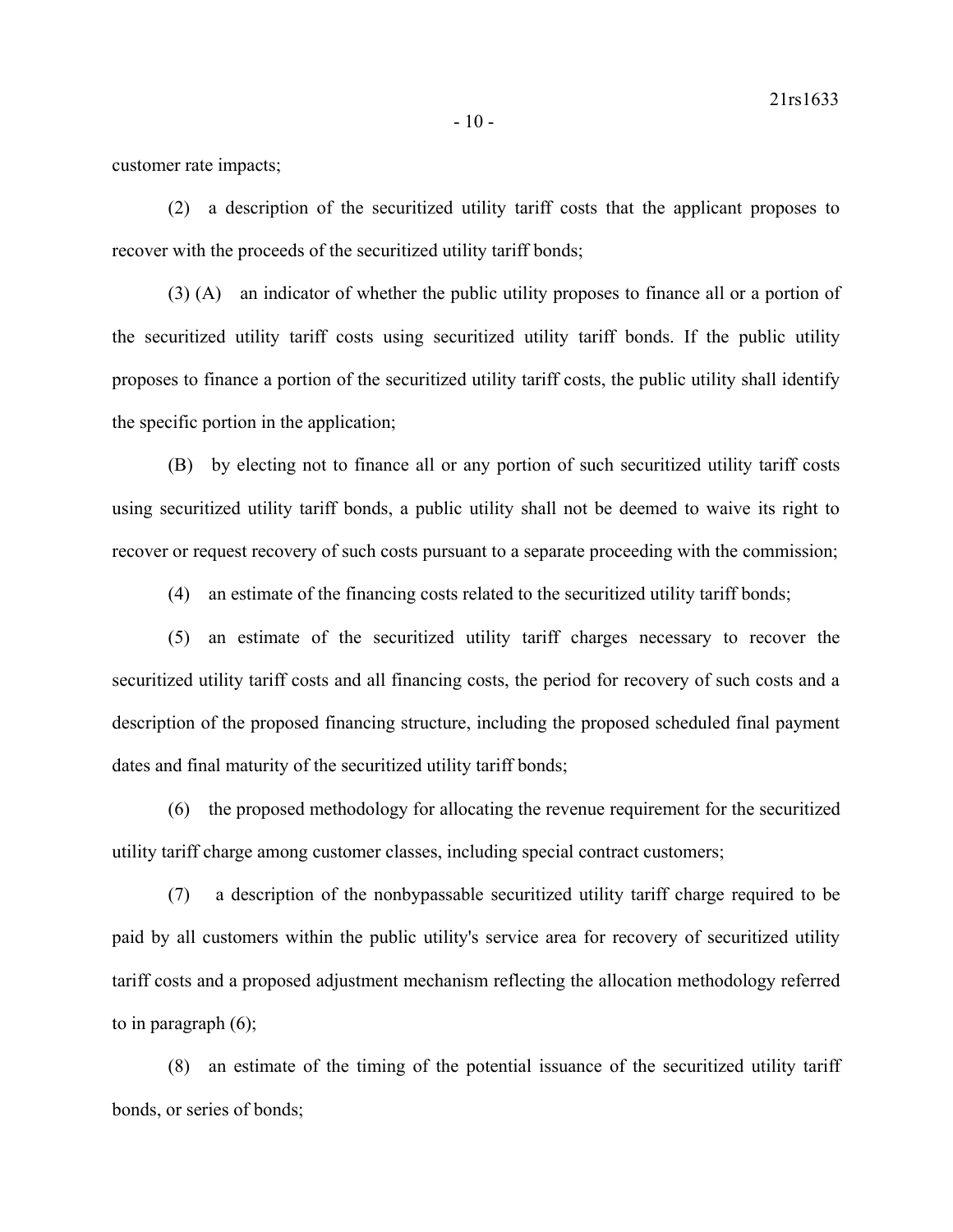customer rate impacts;

(2) a description of the securitized utility tariff costs that the applicant proposes to recover with the proceeds of the securitized utility tariff bonds;

(3) (A) an indicator of whether the public utility proposes to finance all or a portion of the securitized utility tariff costs using securitized utility tariff bonds. If the public utility proposes to finance a portion of the securitized utility tariff costs, the public utility shall identify the specific portion in the application;

(B) by electing not to finance all or any portion of such securitized utility tariff costs using securitized utility tariff bonds, a public utility shall not be deemed to waive its right to recover or request recovery of such costs pursuant to a separate proceeding with the commission;

(4) an estimate of the financing costs related to the securitized utility tariff bonds;

(5) an estimate of the securitized utility tariff charges necessary to recover the securitized utility tariff costs and all financing costs, the period for recovery of such costs and a description of the proposed financing structure, including the proposed scheduled final payment dates and final maturity of the securitized utility tariff bonds;

(6) the proposed methodology for allocating the revenue requirement for the securitized utility tariff charge among customer classes, including special contract customers;

(7) a description of the nonbypassable securitized utility tariff charge required to be paid by all customers within the public utility's service area for recovery of securitized utility tariff costs and a proposed adjustment mechanism reflecting the allocation methodology referred to in paragraph (6);

(8) an estimate of the timing of the potential issuance of the securitized utility tariff bonds, or series of bonds;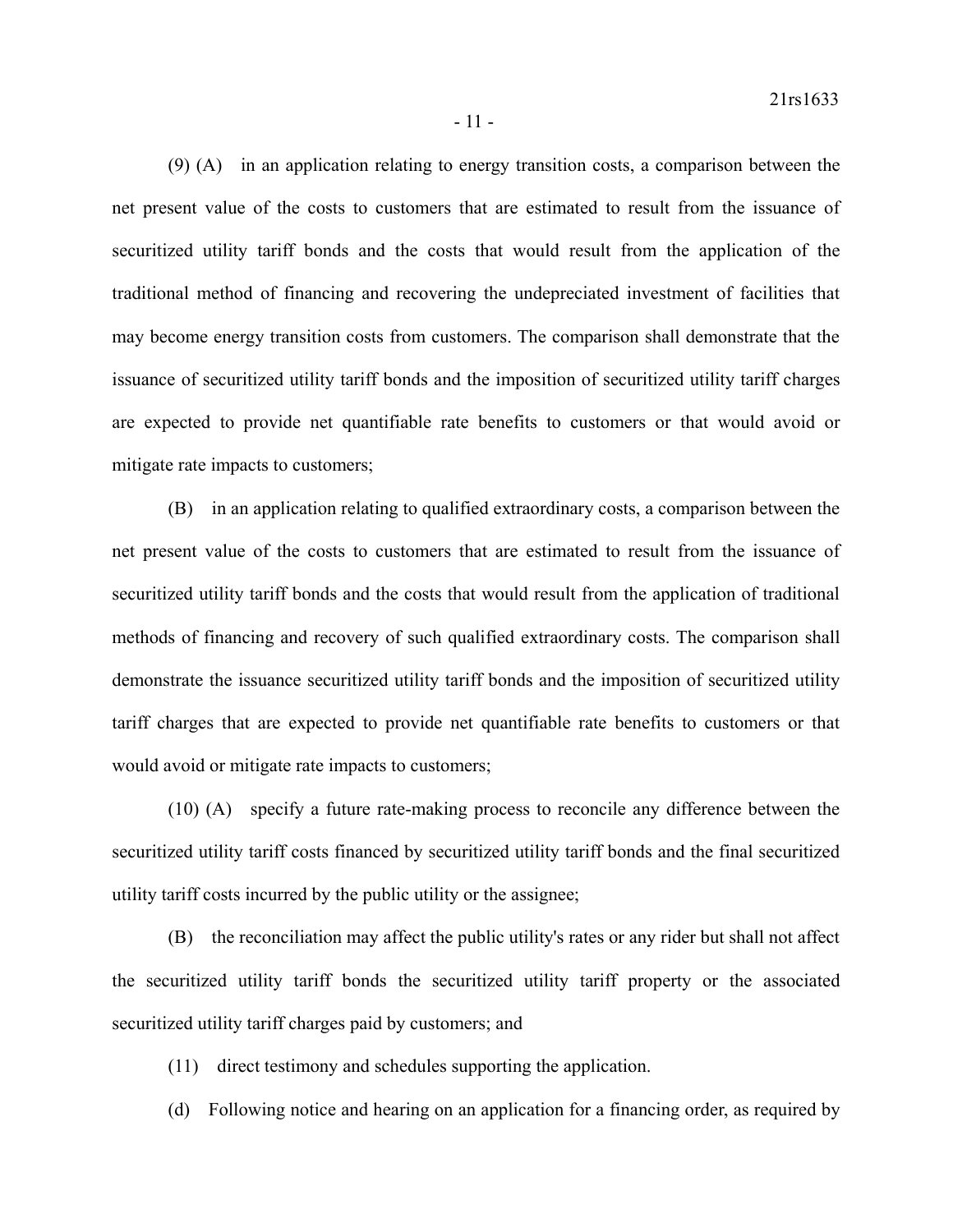(9) (A) in an application relating to energy transition costs, a comparison between the net present value of the costs to customers that are estimated to result from the issuance of securitized utility tariff bonds and the costs that would result from the application of the traditional method of financing and recovering the undepreciated investment of facilities that may become energy transition costs from customers. The comparison shall demonstrate that the issuance of securitized utility tariff bonds and the imposition of securitized utility tariff charges are expected to provide net quantifiable rate benefits to customers or that would avoid or mitigate rate impacts to customers;

(B) in an application relating to qualified extraordinary costs, a comparison between the net present value of the costs to customers that are estimated to result from the issuance of securitized utility tariff bonds and the costs that would result from the application of traditional methods of financing and recovery of such qualified extraordinary costs. The comparison shall demonstrate the issuance securitized utility tariff bonds and the imposition of securitized utility tariff charges that are expected to provide net quantifiable rate benefits to customers or that would avoid or mitigate rate impacts to customers;

(10) (A) specify a future rate-making process to reconcile any difference between the securitized utility tariff costs financed by securitized utility tariff bonds and the final securitized utility tariff costs incurred by the public utility or the assignee;

(B) the reconciliation may affect the public utility's rates or any rider but shall not affect the securitized utility tariff bonds the securitized utility tariff property or the associated securitized utility tariff charges paid by customers; and

- (11) direct testimony and schedules supporting the application.
- (d) Following notice and hearing on an application for a financing order, as required by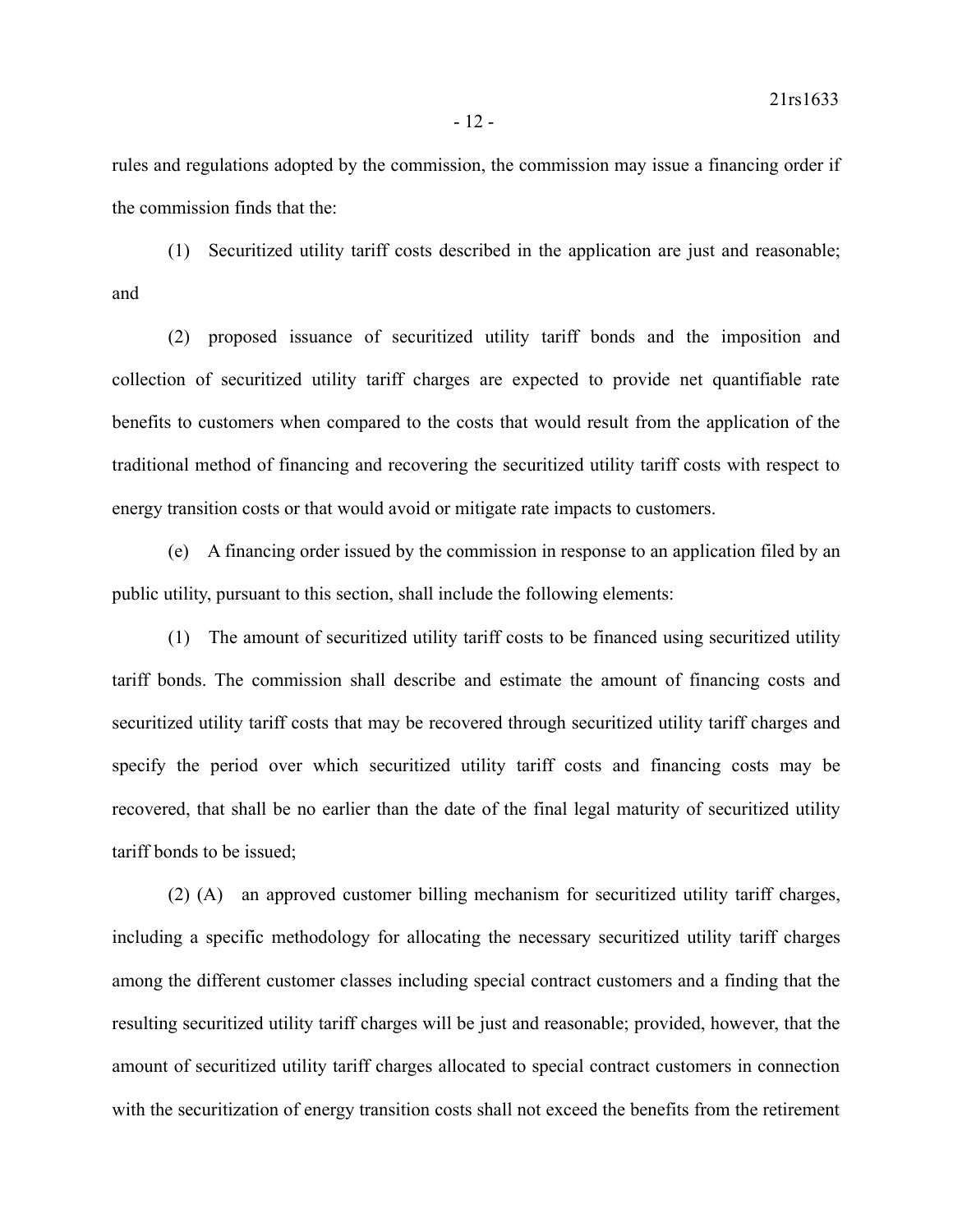rules and regulations adopted by the commission, the commission may issue a financing order if the commission finds that the:

(1) Securitized utility tariff costs described in the application are just and reasonable; and

(2) proposed issuance of securitized utility tariff bonds and the imposition and collection of securitized utility tariff charges are expected to provide net quantifiable rate benefits to customers when compared to the costs that would result from the application of the traditional method of financing and recovering the securitized utility tariff costs with respect to energy transition costs or that would avoid or mitigate rate impacts to customers.

(e) A financing order issued by the commission in response to an application filed by an public utility, pursuant to this section, shall include the following elements:

(1) The amount of securitized utility tariff costs to be financed using securitized utility tariff bonds. The commission shall describe and estimate the amount of financing costs and securitized utility tariff costs that may be recovered through securitized utility tariff charges and specify the period over which securitized utility tariff costs and financing costs may be recovered, that shall be no earlier than the date of the final legal maturity of securitized utility tariff bonds to be issued;

(2) (A) an approved customer billing mechanism for securitized utility tariff charges, including a specific methodology for allocating the necessary securitized utility tariff charges among the different customer classes including special contract customers and a finding that the resulting securitized utility tariff charges will be just and reasonable; provided, however, that the amount of securitized utility tariff charges allocated to special contract customers in connection with the securitization of energy transition costs shall not exceed the benefits from the retirement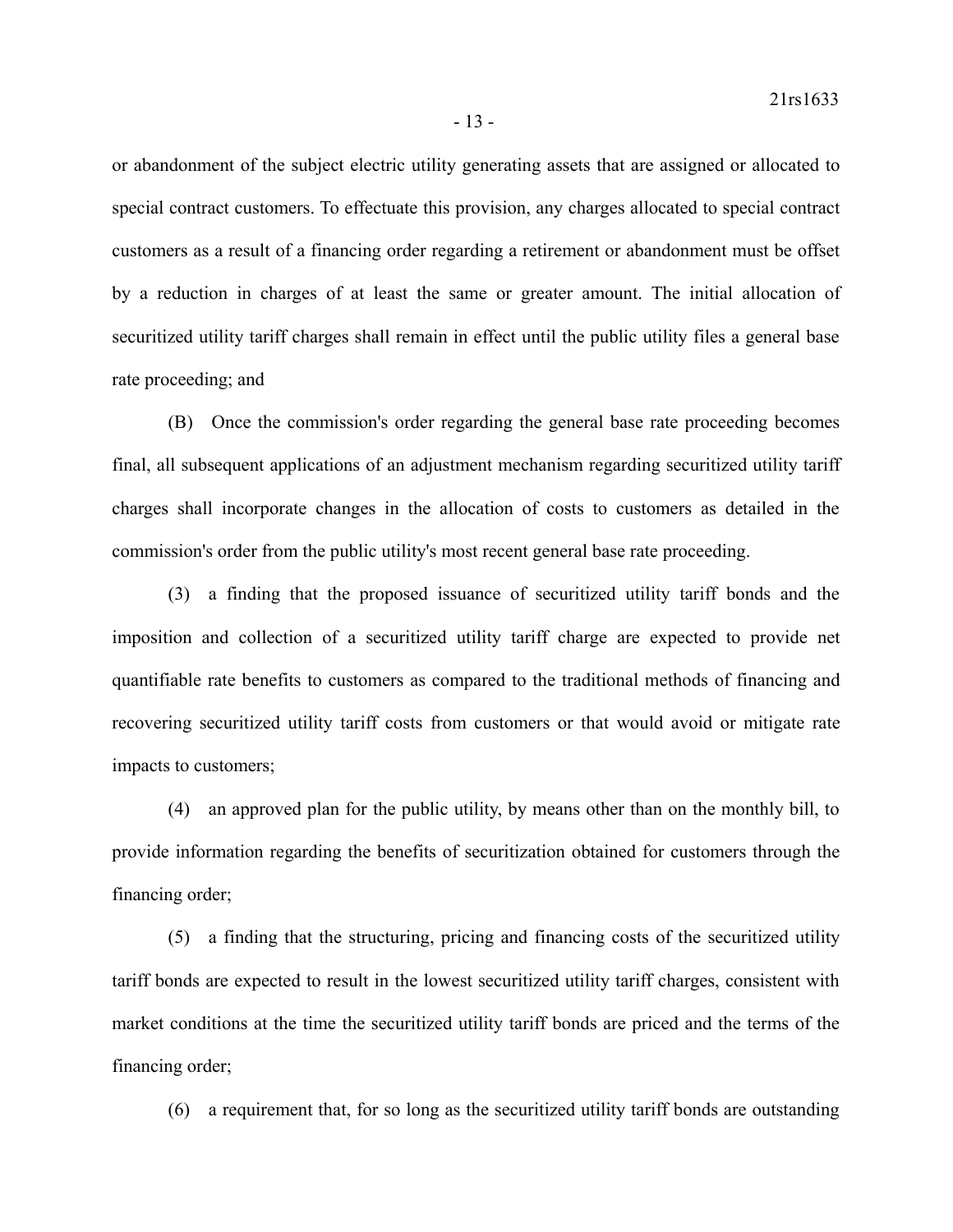or abandonment of the subject electric utility generating assets that are assigned or allocated to special contract customers. To effectuate this provision, any charges allocated to special contract customers as a result of a financing order regarding a retirement or abandonment must be offset by a reduction in charges of at least the same or greater amount. The initial allocation of securitized utility tariff charges shall remain in effect until the public utility files a general base rate proceeding; and

(B) Once the commission's order regarding the general base rate proceeding becomes final, all subsequent applications of an adjustment mechanism regarding securitized utility tariff charges shall incorporate changes in the allocation of costs to customers as detailed in the commission's order from the public utility's most recent general base rate proceeding.

(3) a finding that the proposed issuance of securitized utility tariff bonds and the imposition and collection of a securitized utility tariff charge are expected to provide net quantifiable rate benefits to customers as compared to the traditional methods of financing and recovering securitized utility tariff costs from customers or that would avoid or mitigate rate impacts to customers;

(4) an approved plan for the public utility, by means other than on the monthly bill, to provide information regarding the benefits of securitization obtained for customers through the financing order;

(5) a finding that the structuring, pricing and financing costs of the securitized utility tariff bonds are expected to result in the lowest securitized utility tariff charges, consistent with market conditions at the time the securitized utility tariff bonds are priced and the terms of the financing order;

(6) a requirement that, for so long as the securitized utility tariff bonds are outstanding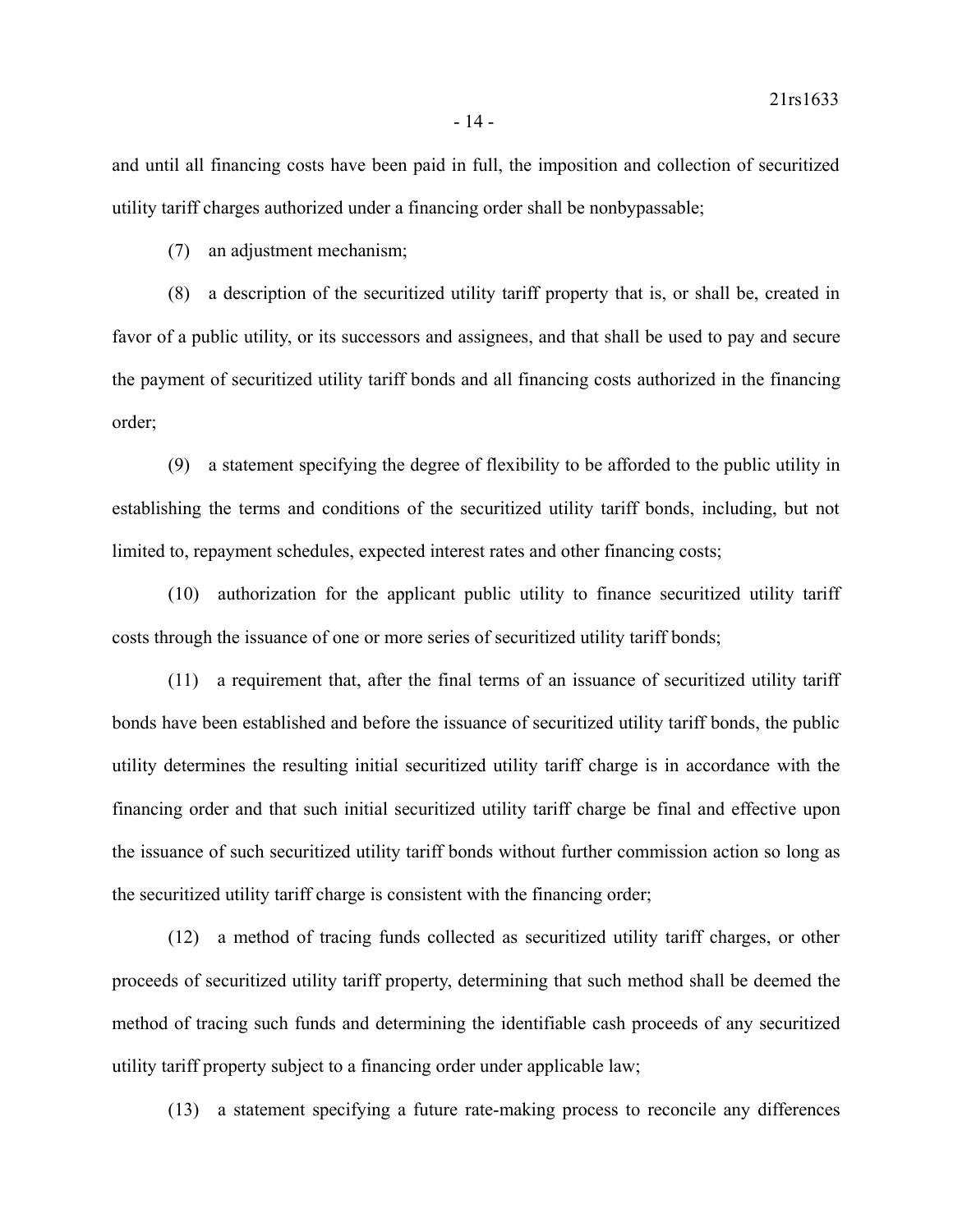and until all financing costs have been paid in full, the imposition and collection of securitized utility tariff charges authorized under a financing order shall be nonbypassable;

(7) an adjustment mechanism;

(8) a description of the securitized utility tariff property that is, or shall be, created in favor of a public utility, or its successors and assignees, and that shall be used to pay and secure the payment of securitized utility tariff bonds and all financing costs authorized in the financing order;

(9) a statement specifying the degree of flexibility to be afforded to the public utility in establishing the terms and conditions of the securitized utility tariff bonds, including, but not limited to, repayment schedules, expected interest rates and other financing costs;

(10) authorization for the applicant public utility to finance securitized utility tariff costs through the issuance of one or more series of securitized utility tariff bonds;

(11) a requirement that, after the final terms of an issuance of securitized utility tariff bonds have been established and before the issuance of securitized utility tariff bonds, the public utility determines the resulting initial securitized utility tariff charge is in accordance with the financing order and that such initial securitized utility tariff charge be final and effective upon the issuance of such securitized utility tariff bonds without further commission action so long as the securitized utility tariff charge is consistent with the financing order;

(12) a method of tracing funds collected as securitized utility tariff charges, or other proceeds of securitized utility tariff property, determining that such method shall be deemed the method of tracing such funds and determining the identifiable cash proceeds of any securitized utility tariff property subject to a financing order under applicable law;

(13) a statement specifying a future rate-making process to reconcile any differences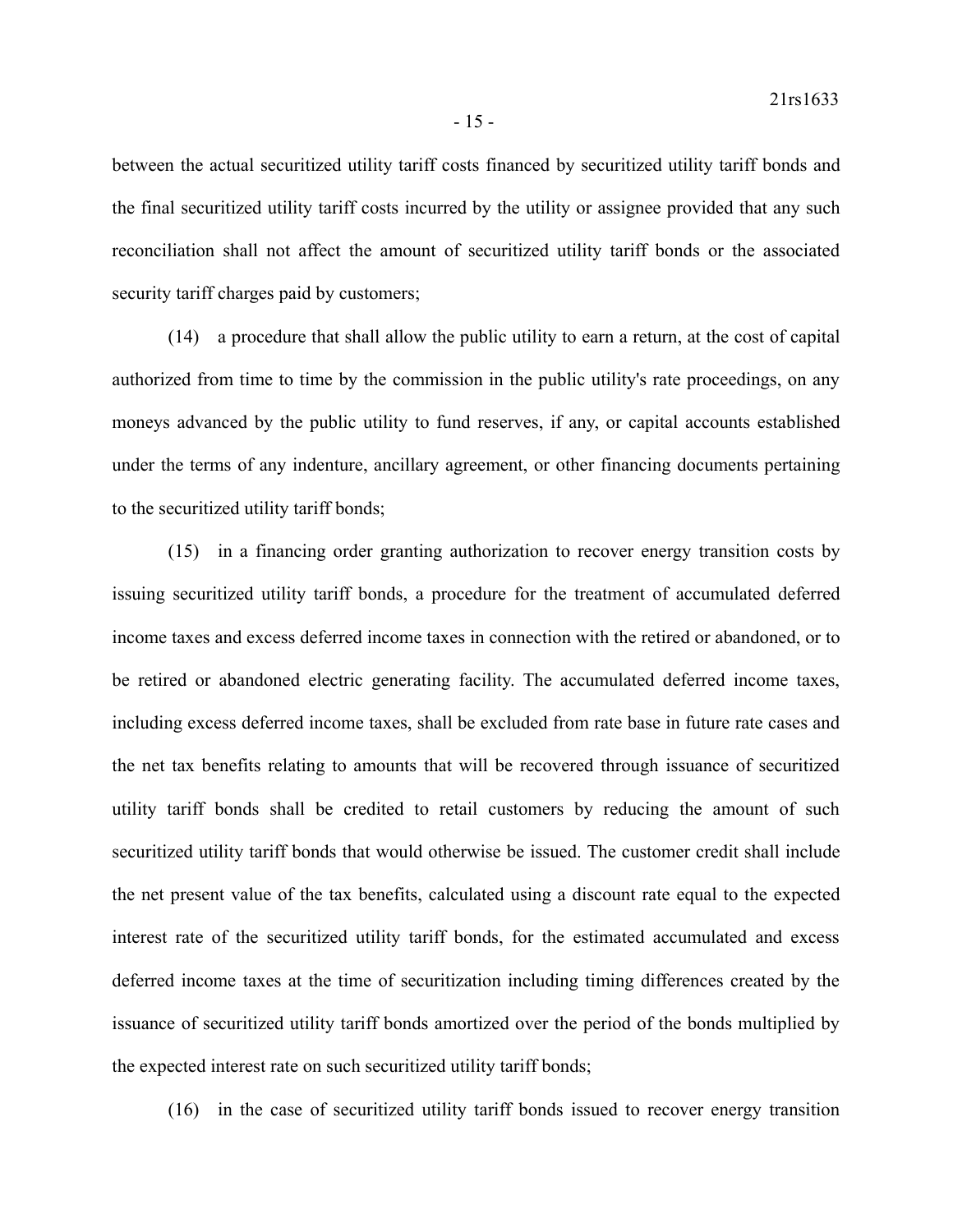between the actual securitized utility tariff costs financed by securitized utility tariff bonds and the final securitized utility tariff costs incurred by the utility or assignee provided that any such reconciliation shall not affect the amount of securitized utility tariff bonds or the associated security tariff charges paid by customers;

(14) a procedure that shall allow the public utility to earn a return, at the cost of capital authorized from time to time by the commission in the public utility's rate proceedings, on any moneys advanced by the public utility to fund reserves, if any, or capital accounts established under the terms of any indenture, ancillary agreement, or other financing documents pertaining to the securitized utility tariff bonds;

(15) in a financing order granting authorization to recover energy transition costs by issuing securitized utility tariff bonds, a procedure for the treatment of accumulated deferred income taxes and excess deferred income taxes in connection with the retired or abandoned, or to be retired or abandoned electric generating facility. The accumulated deferred income taxes, including excess deferred income taxes, shall be excluded from rate base in future rate cases and the net tax benefits relating to amounts that will be recovered through issuance of securitized utility tariff bonds shall be credited to retail customers by reducing the amount of such securitized utility tariff bonds that would otherwise be issued. The customer credit shall include the net present value of the tax benefits, calculated using a discount rate equal to the expected interest rate of the securitized utility tariff bonds, for the estimated accumulated and excess deferred income taxes at the time of securitization including timing differences created by the issuance of securitized utility tariff bonds amortized over the period of the bonds multiplied by the expected interest rate on such securitized utility tariff bonds;

(16) in the case of securitized utility tariff bonds issued to recover energy transition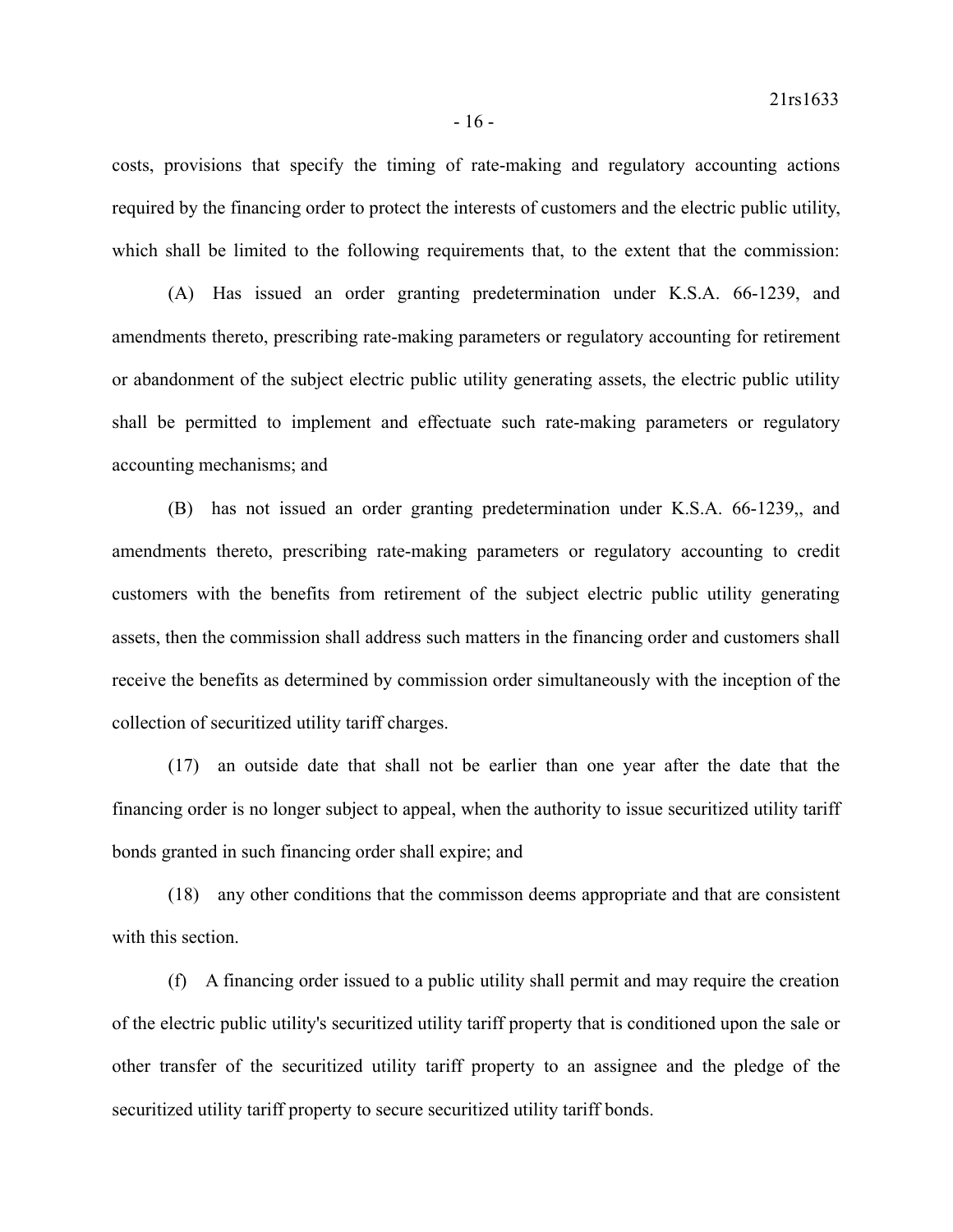costs, provisions that specify the timing of rate-making and regulatory accounting actions required by the financing order to protect the interests of customers and the electric public utility, which shall be limited to the following requirements that, to the extent that the commission:

(A) Has issued an order granting predetermination under K.S.A. 66-1239, and amendments thereto, prescribing rate-making parameters or regulatory accounting for retirement or abandonment of the subject electric public utility generating assets, the electric public utility shall be permitted to implement and effectuate such rate-making parameters or regulatory accounting mechanisms; and

(B) has not issued an order granting predetermination under K.S.A. 66-1239,, and amendments thereto, prescribing rate-making parameters or regulatory accounting to credit customers with the benefits from retirement of the subject electric public utility generating assets, then the commission shall address such matters in the financing order and customers shall receive the benefits as determined by commission order simultaneously with the inception of the collection of securitized utility tariff charges.

(17) an outside date that shall not be earlier than one year after the date that the financing order is no longer subject to appeal, when the authority to issue securitized utility tariff bonds granted in such financing order shall expire; and

(18) any other conditions that the commisson deems appropriate and that are consistent with this section.

(f) A financing order issued to a public utility shall permit and may require the creation of the electric public utility's securitized utility tariff property that is conditioned upon the sale or other transfer of the securitized utility tariff property to an assignee and the pledge of the securitized utility tariff property to secure securitized utility tariff bonds.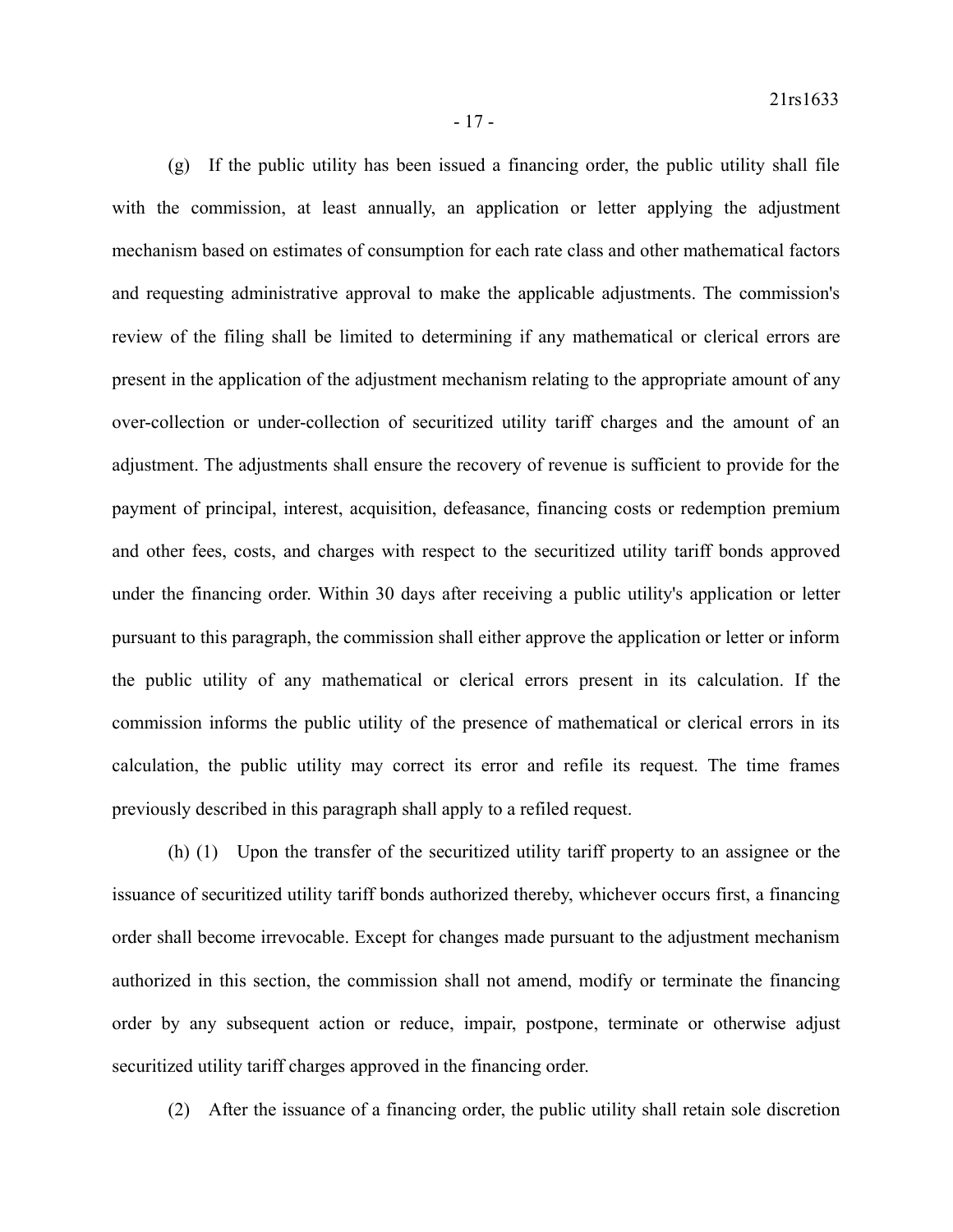(g) If the public utility has been issued a financing order, the public utility shall file with the commission, at least annually, an application or letter applying the adjustment mechanism based on estimates of consumption for each rate class and other mathematical factors and requesting administrative approval to make the applicable adjustments. The commission's review of the filing shall be limited to determining if any mathematical or clerical errors are present in the application of the adjustment mechanism relating to the appropriate amount of any over-collection or under-collection of securitized utility tariff charges and the amount of an adjustment. The adjustments shall ensure the recovery of revenue is sufficient to provide for the payment of principal, interest, acquisition, defeasance, financing costs or redemption premium and other fees, costs, and charges with respect to the securitized utility tariff bonds approved under the financing order. Within 30 days after receiving a public utility's application or letter pursuant to this paragraph, the commission shall either approve the application or letter or inform the public utility of any mathematical or clerical errors present in its calculation. If the commission informs the public utility of the presence of mathematical or clerical errors in its calculation, the public utility may correct its error and refile its request. The time frames previously described in this paragraph shall apply to a refiled request.

(h) (1) Upon the transfer of the securitized utility tariff property to an assignee or the issuance of securitized utility tariff bonds authorized thereby, whichever occurs first, a financing order shall become irrevocable. Except for changes made pursuant to the adjustment mechanism authorized in this section, the commission shall not amend, modify or terminate the financing order by any subsequent action or reduce, impair, postpone, terminate or otherwise adjust securitized utility tariff charges approved in the financing order.

(2) After the issuance of a financing order, the public utility shall retain sole discretion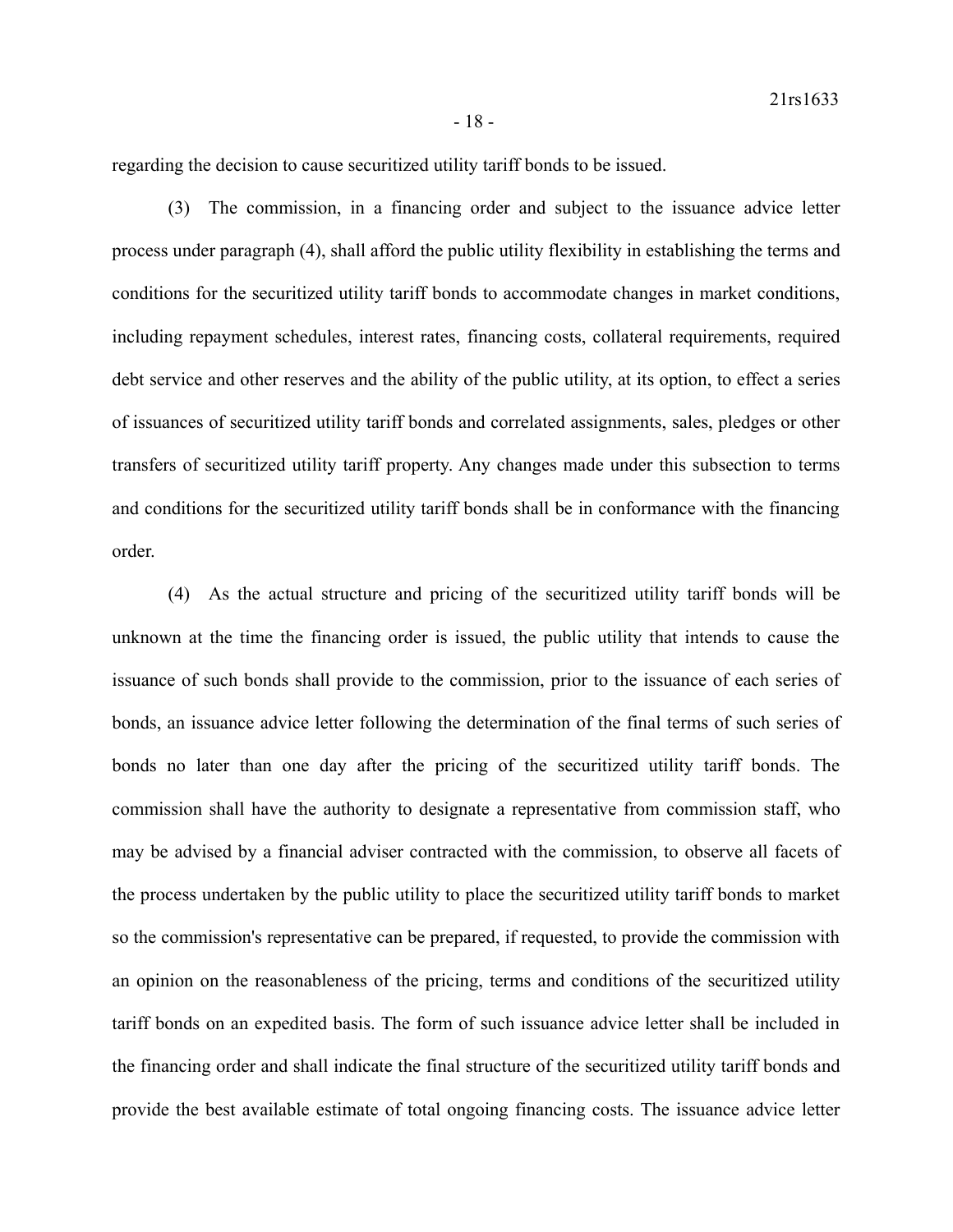regarding the decision to cause securitized utility tariff bonds to be issued.

(3) The commission, in a financing order and subject to the issuance advice letter process under paragraph (4), shall afford the public utility flexibility in establishing the terms and conditions for the securitized utility tariff bonds to accommodate changes in market conditions, including repayment schedules, interest rates, financing costs, collateral requirements, required debt service and other reserves and the ability of the public utility, at its option, to effect a series of issuances of securitized utility tariff bonds and correlated assignments, sales, pledges or other transfers of securitized utility tariff property. Any changes made under this subsection to terms and conditions for the securitized utility tariff bonds shall be in conformance with the financing order.

(4) As the actual structure and pricing of the securitized utility tariff bonds will be unknown at the time the financing order is issued, the public utility that intends to cause the issuance of such bonds shall provide to the commission, prior to the issuance of each series of bonds, an issuance advice letter following the determination of the final terms of such series of bonds no later than one day after the pricing of the securitized utility tariff bonds. The commission shall have the authority to designate a representative from commission staff, who may be advised by a financial adviser contracted with the commission, to observe all facets of the process undertaken by the public utility to place the securitized utility tariff bonds to market so the commission's representative can be prepared, if requested, to provide the commission with an opinion on the reasonableness of the pricing, terms and conditions of the securitized utility tariff bonds on an expedited basis. The form of such issuance advice letter shall be included in the financing order and shall indicate the final structure of the securitized utility tariff bonds and provide the best available estimate of total ongoing financing costs. The issuance advice letter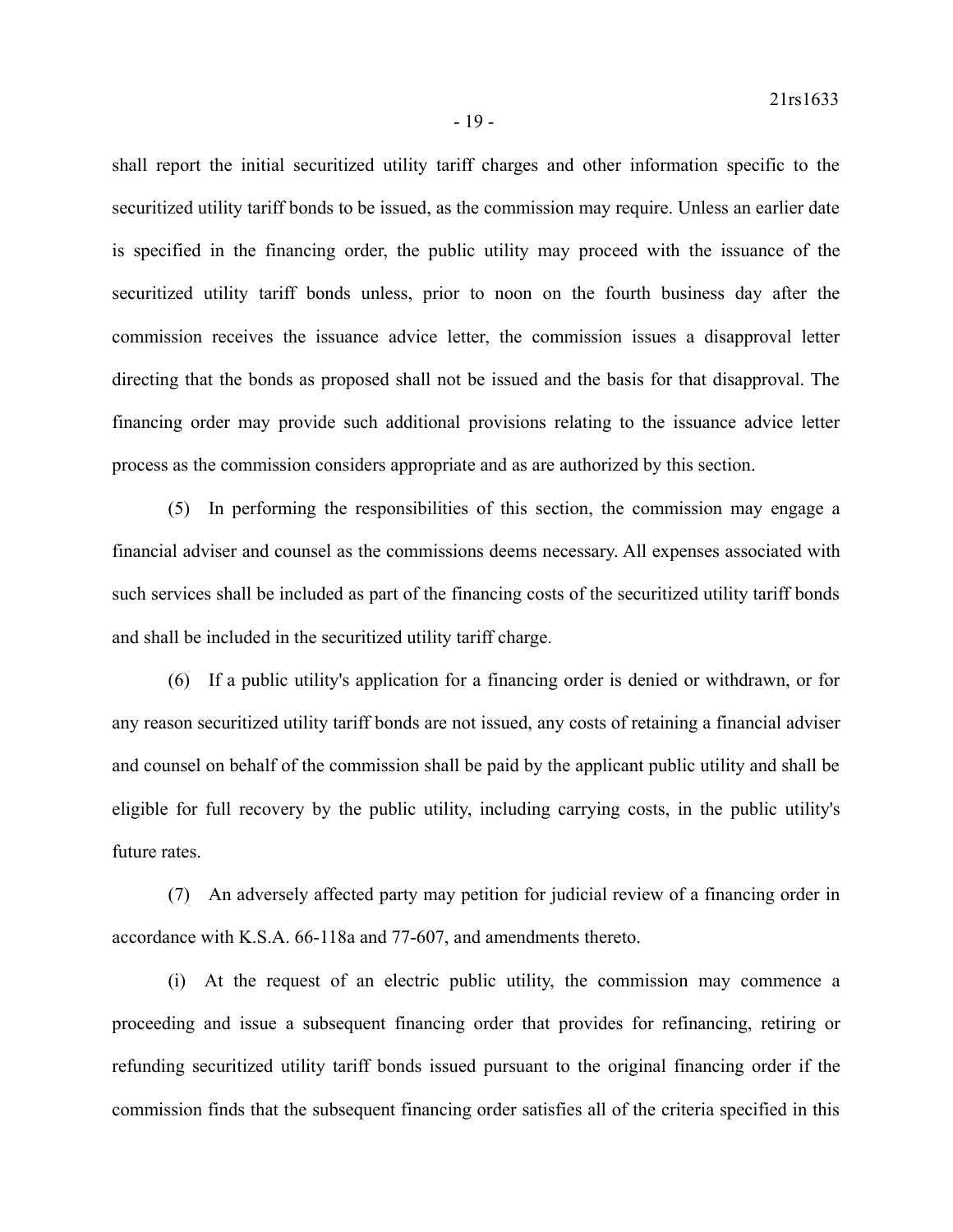shall report the initial securitized utility tariff charges and other information specific to the securitized utility tariff bonds to be issued, as the commission may require. Unless an earlier date is specified in the financing order, the public utility may proceed with the issuance of the securitized utility tariff bonds unless, prior to noon on the fourth business day after the commission receives the issuance advice letter, the commission issues a disapproval letter directing that the bonds as proposed shall not be issued and the basis for that disapproval. The financing order may provide such additional provisions relating to the issuance advice letter process as the commission considers appropriate and as are authorized by this section.

(5) In performing the responsibilities of this section, the commission may engage a financial adviser and counsel as the commissions deems necessary. All expenses associated with such services shall be included as part of the financing costs of the securitized utility tariff bonds and shall be included in the securitized utility tariff charge.

(6) If a public utility's application for a financing order is denied or withdrawn, or for any reason securitized utility tariff bonds are not issued, any costs of retaining a financial adviser and counsel on behalf of the commission shall be paid by the applicant public utility and shall be eligible for full recovery by the public utility, including carrying costs, in the public utility's future rates.

(7) An adversely affected party may petition for judicial review of a financing order in accordance with K.S.A. 66-118a and 77-607, and amendments thereto.

(i) At the request of an electric public utility, the commission may commence a proceeding and issue a subsequent financing order that provides for refinancing, retiring or refunding securitized utility tariff bonds issued pursuant to the original financing order if the commission finds that the subsequent financing order satisfies all of the criteria specified in this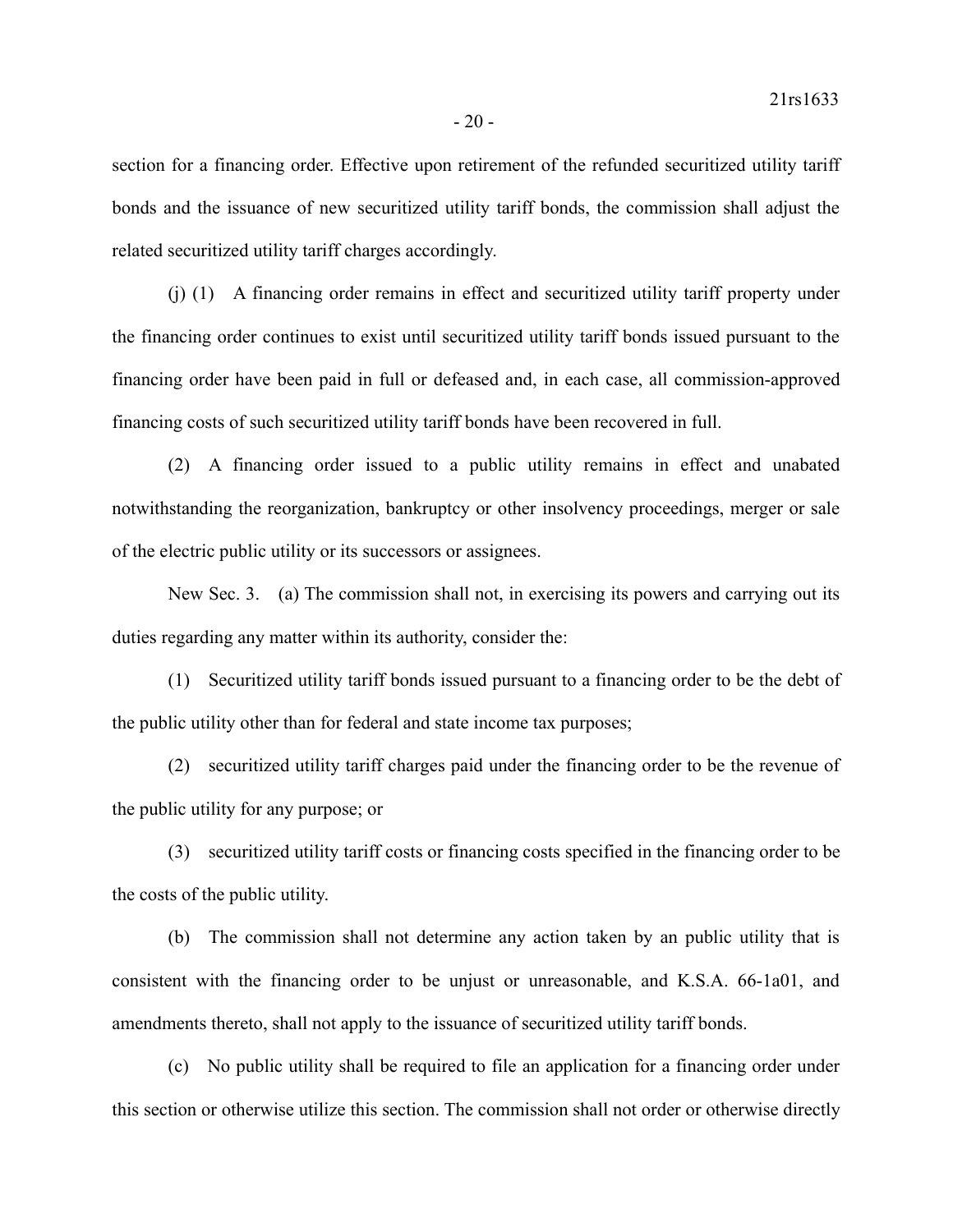section for a financing order. Effective upon retirement of the refunded securitized utility tariff bonds and the issuance of new securitized utility tariff bonds, the commission shall adjust the related securitized utility tariff charges accordingly.

(j) (1) A financing order remains in effect and securitized utility tariff property under the financing order continues to exist until securitized utility tariff bonds issued pursuant to the financing order have been paid in full or defeased and, in each case, all commission-approved financing costs of such securitized utility tariff bonds have been recovered in full.

(2) A financing order issued to a public utility remains in effect and unabated notwithstanding the reorganization, bankruptcy or other insolvency proceedings, merger or sale of the electric public utility or its successors or assignees.

New Sec. 3. (a) The commission shall not, in exercising its powers and carrying out its duties regarding any matter within its authority, consider the:

(1) Securitized utility tariff bonds issued pursuant to a financing order to be the debt of the public utility other than for federal and state income tax purposes;

(2) securitized utility tariff charges paid under the financing order to be the revenue of the public utility for any purpose; or

(3) securitized utility tariff costs or financing costs specified in the financing order to be the costs of the public utility.

(b) The commission shall not determine any action taken by an public utility that is consistent with the financing order to be unjust or unreasonable, and K.S.A. 66-1a01, and amendments thereto, shall not apply to the issuance of securitized utility tariff bonds.

(c) No public utility shall be required to file an application for a financing order under this section or otherwise utilize this section. The commission shall not order or otherwise directly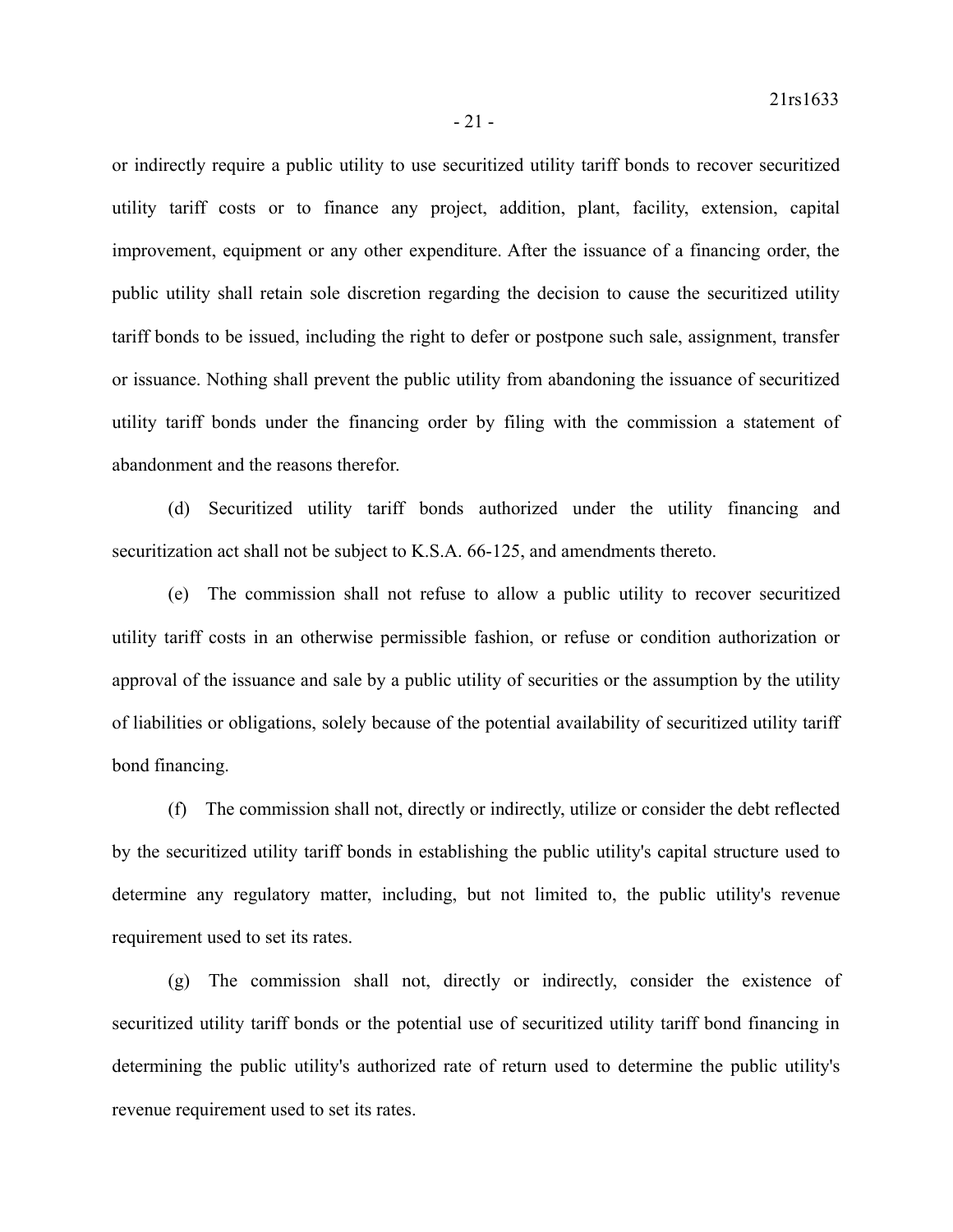or indirectly require a public utility to use securitized utility tariff bonds to recover securitized utility tariff costs or to finance any project, addition, plant, facility, extension, capital improvement, equipment or any other expenditure. After the issuance of a financing order, the public utility shall retain sole discretion regarding the decision to cause the securitized utility tariff bonds to be issued, including the right to defer or postpone such sale, assignment, transfer or issuance. Nothing shall prevent the public utility from abandoning the issuance of securitized utility tariff bonds under the financing order by filing with the commission a statement of abandonment and the reasons therefor.

(d) Securitized utility tariff bonds authorized under the utility financing and securitization act shall not be subject to K.S.A. 66-125, and amendments thereto.

(e) The commission shall not refuse to allow a public utility to recover securitized utility tariff costs in an otherwise permissible fashion, or refuse or condition authorization or approval of the issuance and sale by a public utility of securities or the assumption by the utility of liabilities or obligations, solely because of the potential availability of securitized utility tariff bond financing.

(f) The commission shall not, directly or indirectly, utilize or consider the debt reflected by the securitized utility tariff bonds in establishing the public utility's capital structure used to determine any regulatory matter, including, but not limited to, the public utility's revenue requirement used to set its rates.

(g) The commission shall not, directly or indirectly, consider the existence of securitized utility tariff bonds or the potential use of securitized utility tariff bond financing in determining the public utility's authorized rate of return used to determine the public utility's revenue requirement used to set its rates.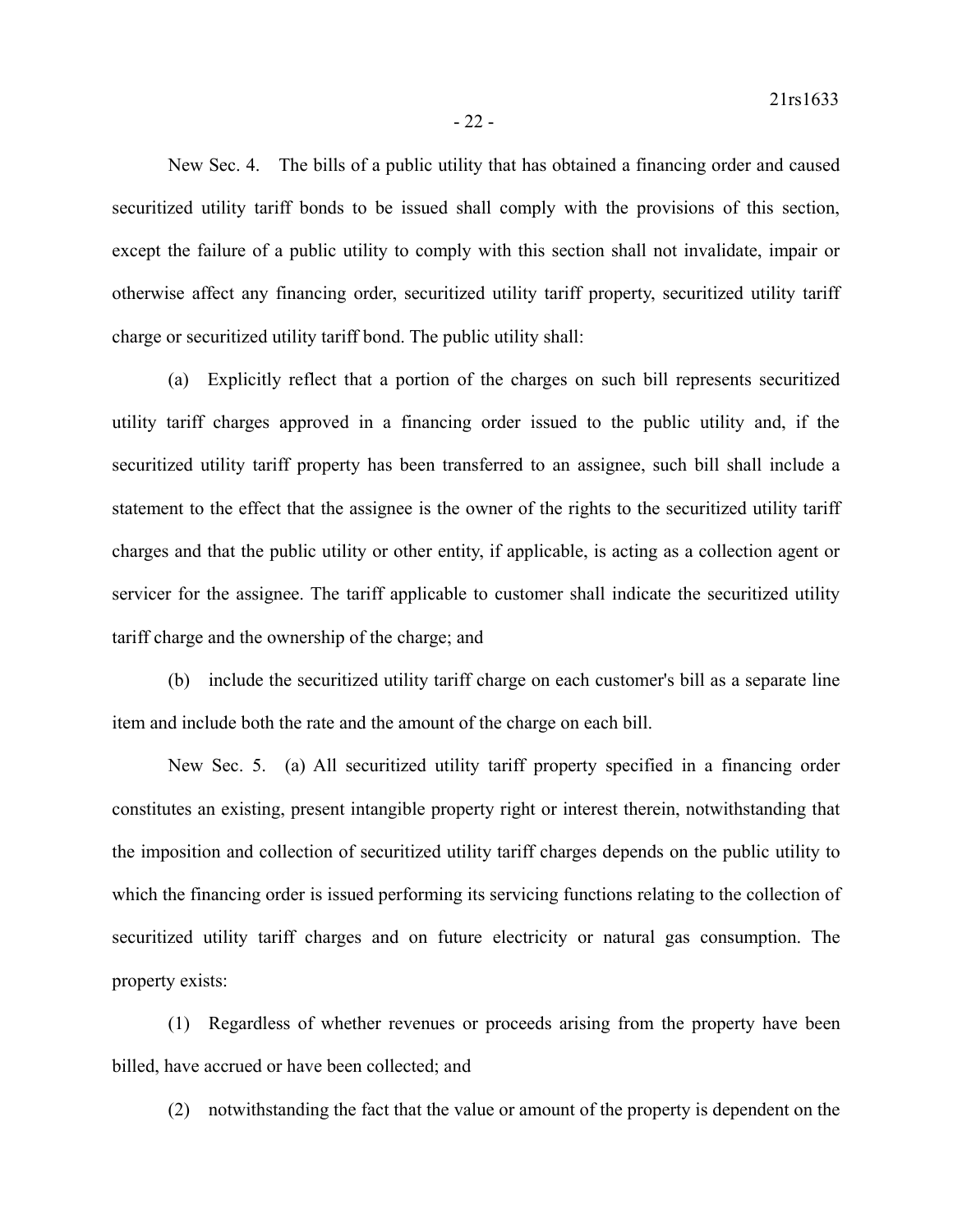New Sec. 4. The bills of a public utility that has obtained a financing order and caused securitized utility tariff bonds to be issued shall comply with the provisions of this section, except the failure of a public utility to comply with this section shall not invalidate, impair or otherwise affect any financing order, securitized utility tariff property, securitized utility tariff charge or securitized utility tariff bond. The public utility shall:

(a) Explicitly reflect that a portion of the charges on such bill represents securitized utility tariff charges approved in a financing order issued to the public utility and, if the securitized utility tariff property has been transferred to an assignee, such bill shall include a statement to the effect that the assignee is the owner of the rights to the securitized utility tariff charges and that the public utility or other entity, if applicable, is acting as a collection agent or servicer for the assignee. The tariff applicable to customer shall indicate the securitized utility tariff charge and the ownership of the charge; and

(b) include the securitized utility tariff charge on each customer's bill as a separate line item and include both the rate and the amount of the charge on each bill.

New Sec. 5. (a) All securitized utility tariff property specified in a financing order constitutes an existing, present intangible property right or interest therein, notwithstanding that the imposition and collection of securitized utility tariff charges depends on the public utility to which the financing order is issued performing its servicing functions relating to the collection of securitized utility tariff charges and on future electricity or natural gas consumption. The property exists:

(1) Regardless of whether revenues or proceeds arising from the property have been billed, have accrued or have been collected; and

(2) notwithstanding the fact that the value or amount of the property is dependent on the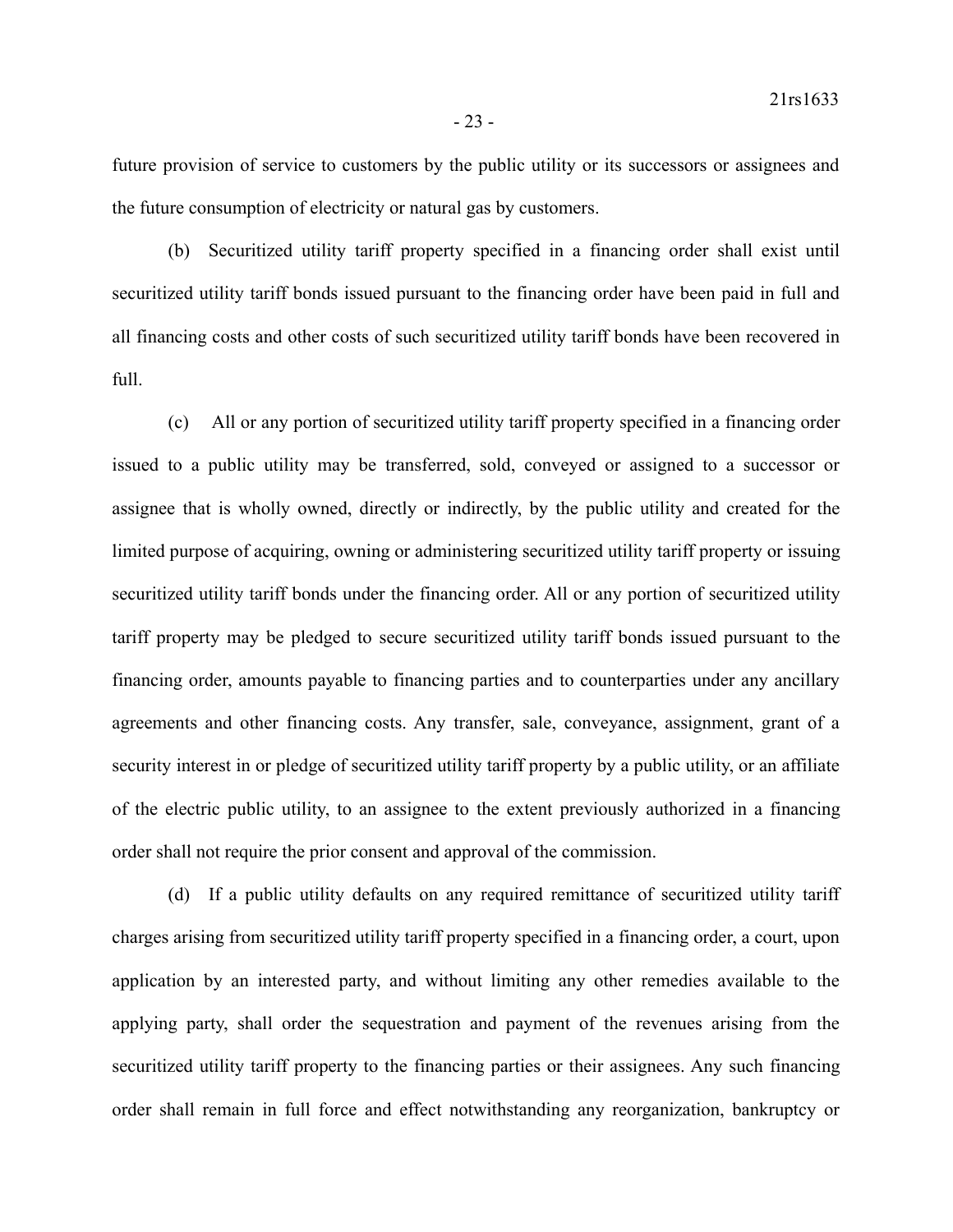future provision of service to customers by the public utility or its successors or assignees and the future consumption of electricity or natural gas by customers.

(b) Securitized utility tariff property specified in a financing order shall exist until securitized utility tariff bonds issued pursuant to the financing order have been paid in full and all financing costs and other costs of such securitized utility tariff bonds have been recovered in full.

(c) All or any portion of securitized utility tariff property specified in a financing order issued to a public utility may be transferred, sold, conveyed or assigned to a successor or assignee that is wholly owned, directly or indirectly, by the public utility and created for the limited purpose of acquiring, owning or administering securitized utility tariff property or issuing securitized utility tariff bonds under the financing order. All or any portion of securitized utility tariff property may be pledged to secure securitized utility tariff bonds issued pursuant to the financing order, amounts payable to financing parties and to counterparties under any ancillary agreements and other financing costs. Any transfer, sale, conveyance, assignment, grant of a security interest in or pledge of securitized utility tariff property by a public utility, or an affiliate of the electric public utility, to an assignee to the extent previously authorized in a financing order shall not require the prior consent and approval of the commission.

(d) If a public utility defaults on any required remittance of securitized utility tariff charges arising from securitized utility tariff property specified in a financing order, a court, upon application by an interested party, and without limiting any other remedies available to the applying party, shall order the sequestration and payment of the revenues arising from the securitized utility tariff property to the financing parties or their assignees. Any such financing order shall remain in full force and effect notwithstanding any reorganization, bankruptcy or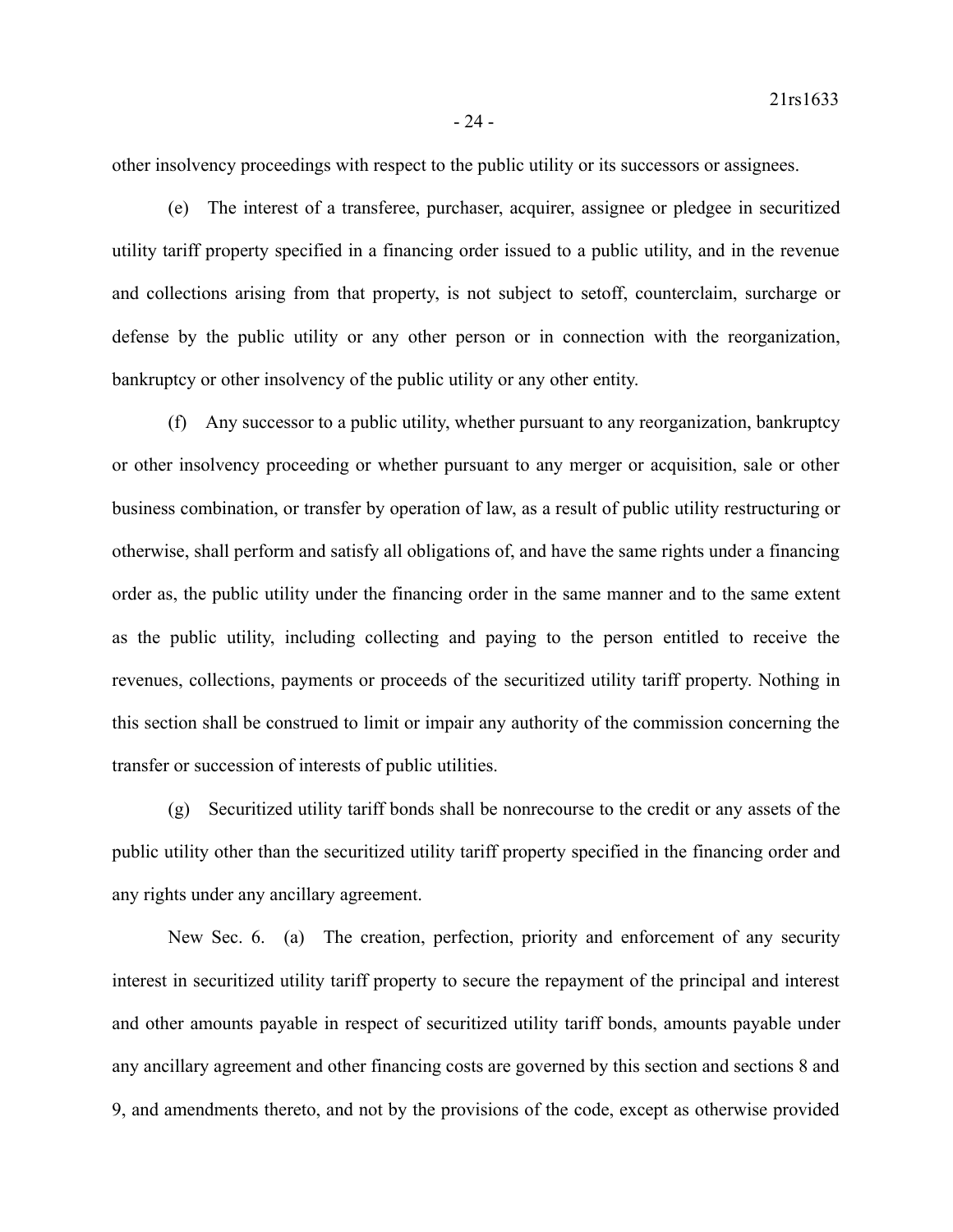other insolvency proceedings with respect to the public utility or its successors or assignees.

(e) The interest of a transferee, purchaser, acquirer, assignee or pledgee in securitized utility tariff property specified in a financing order issued to a public utility, and in the revenue and collections arising from that property, is not subject to setoff, counterclaim, surcharge or defense by the public utility or any other person or in connection with the reorganization, bankruptcy or other insolvency of the public utility or any other entity.

(f) Any successor to a public utility, whether pursuant to any reorganization, bankruptcy or other insolvency proceeding or whether pursuant to any merger or acquisition, sale or other business combination, or transfer by operation of law, as a result of public utility restructuring or otherwise, shall perform and satisfy all obligations of, and have the same rights under a financing order as, the public utility under the financing order in the same manner and to the same extent as the public utility, including collecting and paying to the person entitled to receive the revenues, collections, payments or proceeds of the securitized utility tariff property. Nothing in this section shall be construed to limit or impair any authority of the commission concerning the transfer or succession of interests of public utilities.

(g) Securitized utility tariff bonds shall be nonrecourse to the credit or any assets of the public utility other than the securitized utility tariff property specified in the financing order and any rights under any ancillary agreement.

New Sec. 6. (a) The creation, perfection, priority and enforcement of any security interest in securitized utility tariff property to secure the repayment of the principal and interest and other amounts payable in respect of securitized utility tariff bonds, amounts payable under any ancillary agreement and other financing costs are governed by this section and sections 8 and 9, and amendments thereto, and not by the provisions of the code, except as otherwise provided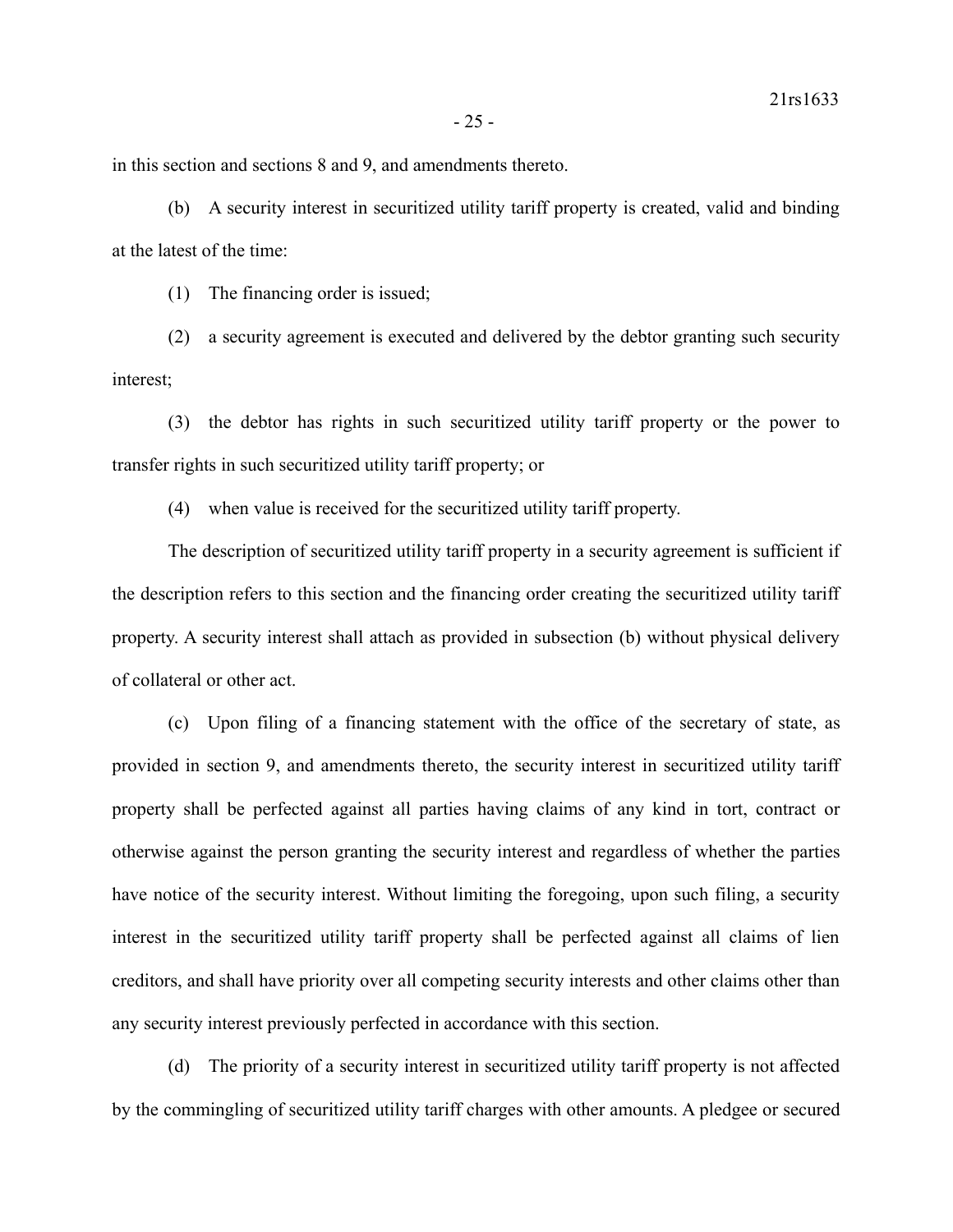in this section and sections 8 and 9, and amendments thereto.

(b) A security interest in securitized utility tariff property is created, valid and binding at the latest of the time:

(1) The financing order is issued;

(2) a security agreement is executed and delivered by the debtor granting such security interest;

(3) the debtor has rights in such securitized utility tariff property or the power to transfer rights in such securitized utility tariff property; or

(4) when value is received for the securitized utility tariff property.

The description of securitized utility tariff property in a security agreement is sufficient if the description refers to this section and the financing order creating the securitized utility tariff property. A security interest shall attach as provided in subsection (b) without physical delivery of collateral or other act.

(c) Upon filing of a financing statement with the office of the secretary of state, as provided in section 9, and amendments thereto, the security interest in securitized utility tariff property shall be perfected against all parties having claims of any kind in tort, contract or otherwise against the person granting the security interest and regardless of whether the parties have notice of the security interest. Without limiting the foregoing, upon such filing, a security interest in the securitized utility tariff property shall be perfected against all claims of lien creditors, and shall have priority over all competing security interests and other claims other than any security interest previously perfected in accordance with this section.

(d) The priority of a security interest in securitized utility tariff property is not affected by the commingling of securitized utility tariff charges with other amounts. A pledgee or secured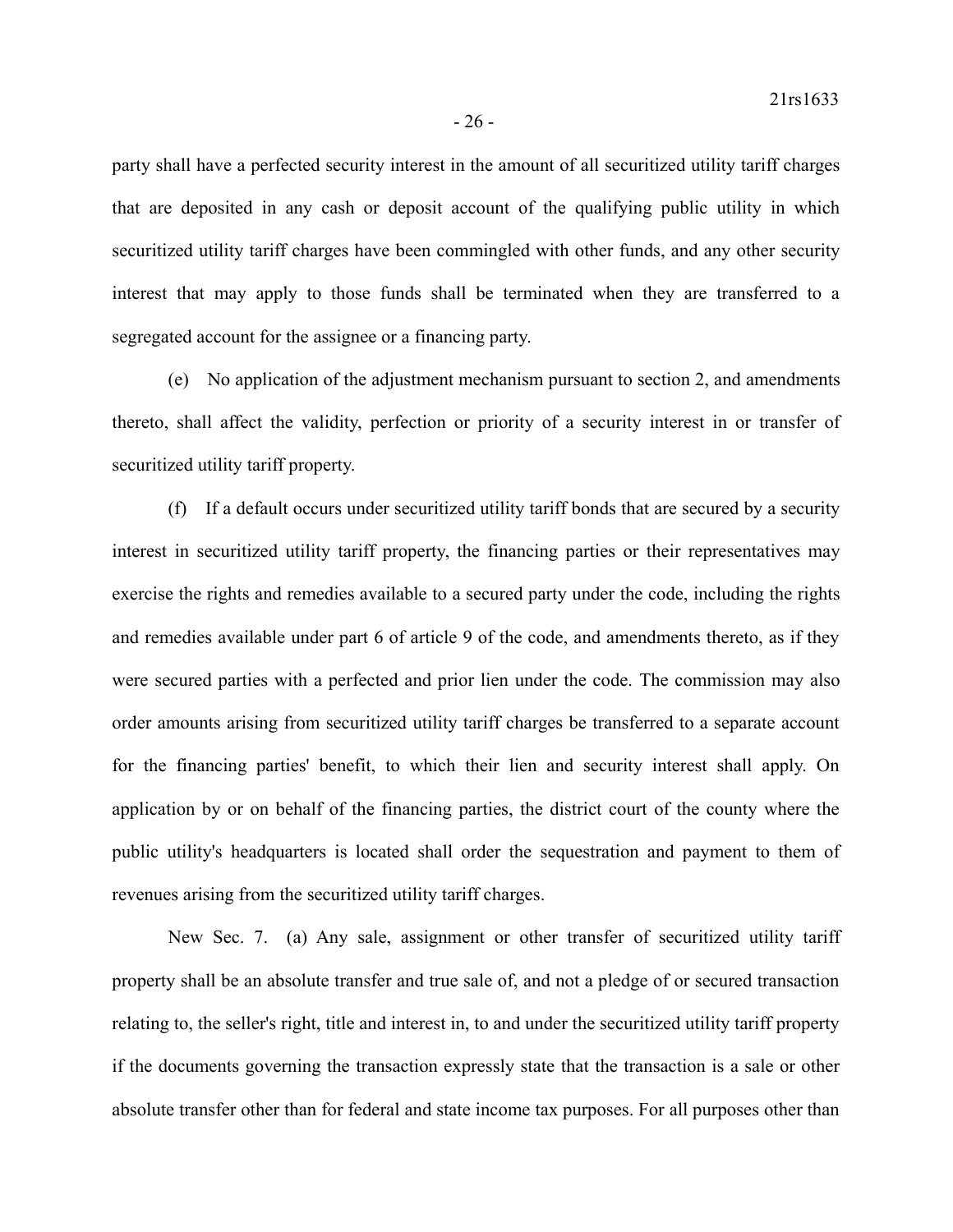party shall have a perfected security interest in the amount of all securitized utility tariff charges that are deposited in any cash or deposit account of the qualifying public utility in which securitized utility tariff charges have been commingled with other funds, and any other security interest that may apply to those funds shall be terminated when they are transferred to a segregated account for the assignee or a financing party.

(e) No application of the adjustment mechanism pursuant to section 2, and amendments thereto, shall affect the validity, perfection or priority of a security interest in or transfer of securitized utility tariff property.

(f) If a default occurs under securitized utility tariff bonds that are secured by a security interest in securitized utility tariff property, the financing parties or their representatives may exercise the rights and remedies available to a secured party under the code, including the rights and remedies available under part 6 of article 9 of the code, and amendments thereto, as if they were secured parties with a perfected and prior lien under the code. The commission may also order amounts arising from securitized utility tariff charges be transferred to a separate account for the financing parties' benefit, to which their lien and security interest shall apply. On application by or on behalf of the financing parties, the district court of the county where the public utility's headquarters is located shall order the sequestration and payment to them of revenues arising from the securitized utility tariff charges.

New Sec. 7. (a) Any sale, assignment or other transfer of securitized utility tariff property shall be an absolute transfer and true sale of, and not a pledge of or secured transaction relating to, the seller's right, title and interest in, to and under the securitized utility tariff property if the documents governing the transaction expressly state that the transaction is a sale or other absolute transfer other than for federal and state income tax purposes. For all purposes other than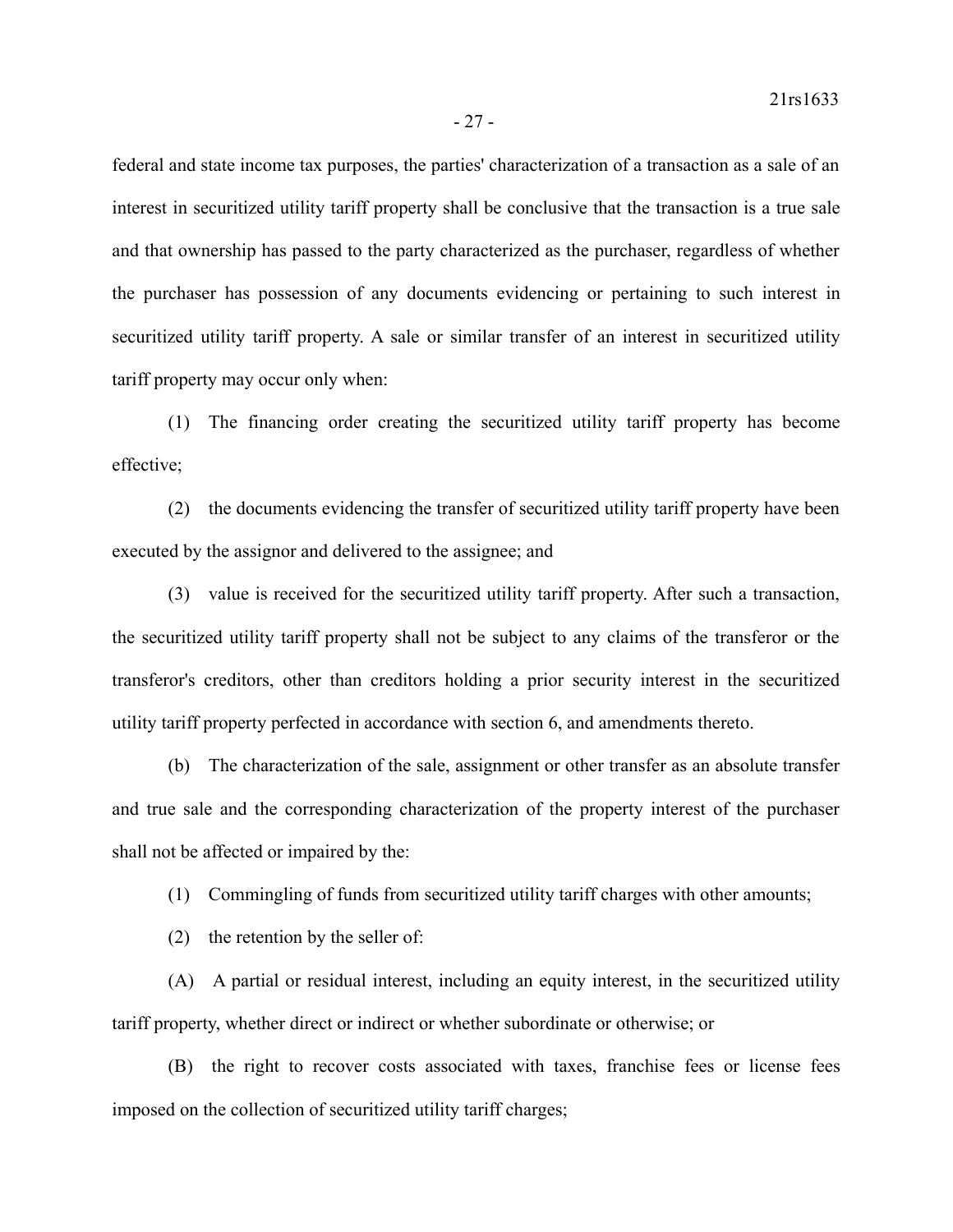federal and state income tax purposes, the parties' characterization of a transaction as a sale of an interest in securitized utility tariff property shall be conclusive that the transaction is a true sale and that ownership has passed to the party characterized as the purchaser, regardless of whether the purchaser has possession of any documents evidencing or pertaining to such interest in securitized utility tariff property. A sale or similar transfer of an interest in securitized utility tariff property may occur only when:

(1) The financing order creating the securitized utility tariff property has become effective;

(2) the documents evidencing the transfer of securitized utility tariff property have been executed by the assignor and delivered to the assignee; and

(3) value is received for the securitized utility tariff property. After such a transaction, the securitized utility tariff property shall not be subject to any claims of the transferor or the transferor's creditors, other than creditors holding a prior security interest in the securitized utility tariff property perfected in accordance with section 6, and amendments thereto.

(b) The characterization of the sale, assignment or other transfer as an absolute transfer and true sale and the corresponding characterization of the property interest of the purchaser shall not be affected or impaired by the:

(1) Commingling of funds from securitized utility tariff charges with other amounts;

(2) the retention by the seller of:

(A) A partial or residual interest, including an equity interest, in the securitized utility tariff property, whether direct or indirect or whether subordinate or otherwise; or

(B) the right to recover costs associated with taxes, franchise fees or license fees imposed on the collection of securitized utility tariff charges;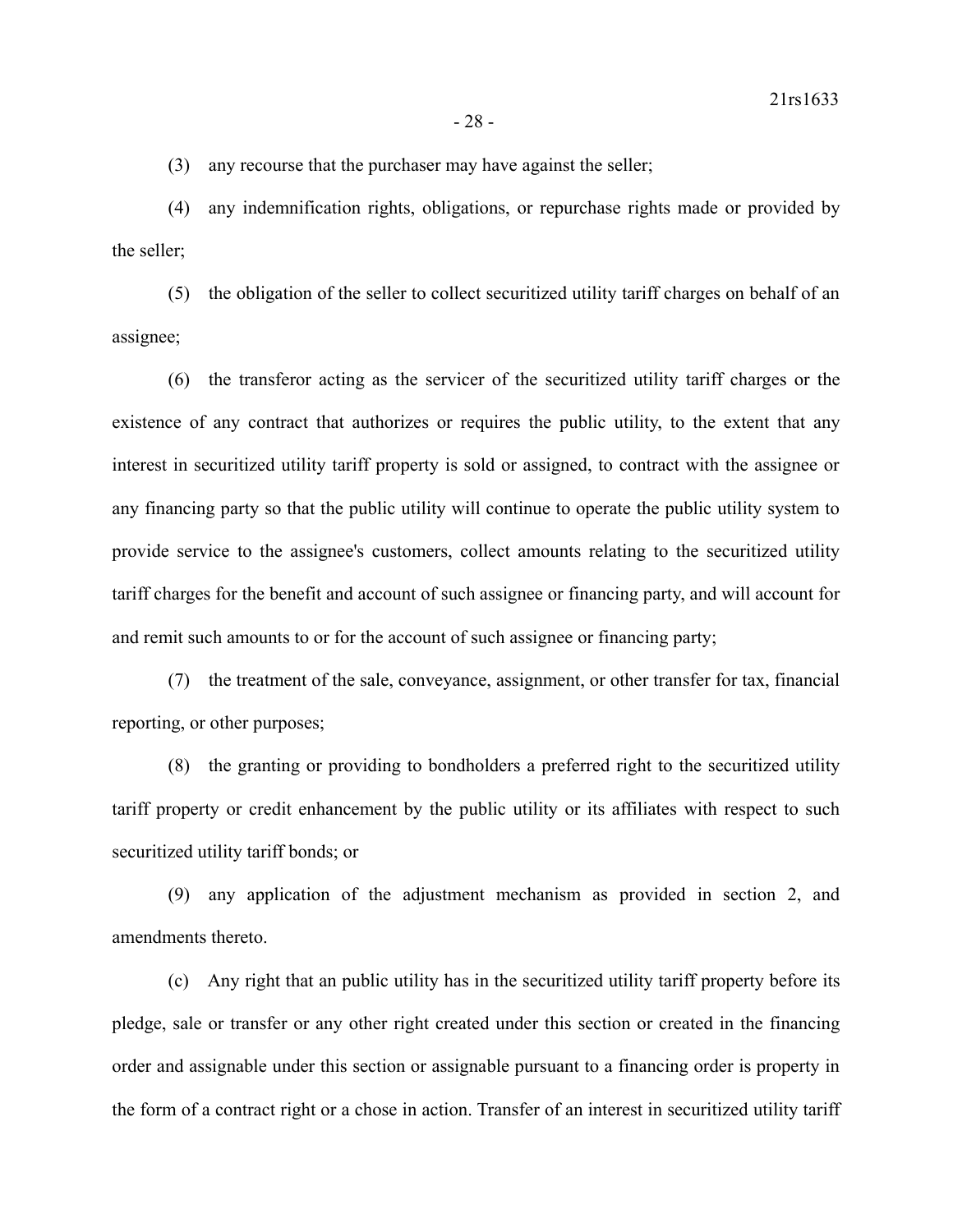(3) any recourse that the purchaser may have against the seller;

(4) any indemnification rights, obligations, or repurchase rights made or provided by the seller;

(5) the obligation of the seller to collect securitized utility tariff charges on behalf of an assignee;

(6) the transferor acting as the servicer of the securitized utility tariff charges or the existence of any contract that authorizes or requires the public utility, to the extent that any interest in securitized utility tariff property is sold or assigned, to contract with the assignee or any financing party so that the public utility will continue to operate the public utility system to provide service to the assignee's customers, collect amounts relating to the securitized utility tariff charges for the benefit and account of such assignee or financing party, and will account for and remit such amounts to or for the account of such assignee or financing party;

(7) the treatment of the sale, conveyance, assignment, or other transfer for tax, financial reporting, or other purposes;

(8) the granting or providing to bondholders a preferred right to the securitized utility tariff property or credit enhancement by the public utility or its affiliates with respect to such securitized utility tariff bonds; or

(9) any application of the adjustment mechanism as provided in section 2, and amendments thereto.

(c) Any right that an public utility has in the securitized utility tariff property before its pledge, sale or transfer or any other right created under this section or created in the financing order and assignable under this section or assignable pursuant to a financing order is property in the form of a contract right or a chose in action. Transfer of an interest in securitized utility tariff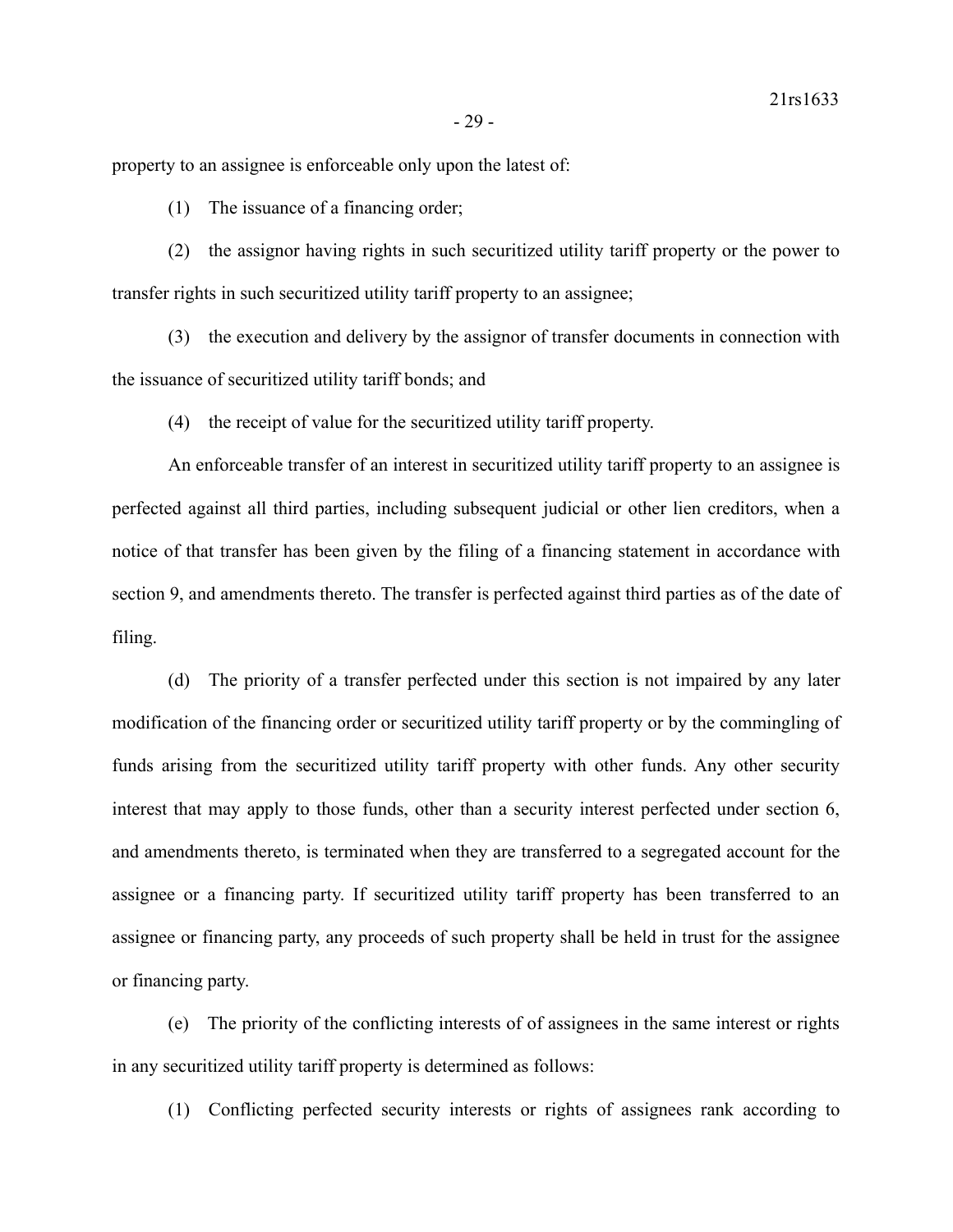property to an assignee is enforceable only upon the latest of:

(1) The issuance of a financing order;

(2) the assignor having rights in such securitized utility tariff property or the power to transfer rights in such securitized utility tariff property to an assignee;

(3) the execution and delivery by the assignor of transfer documents in connection with the issuance of securitized utility tariff bonds; and

(4) the receipt of value for the securitized utility tariff property.

An enforceable transfer of an interest in securitized utility tariff property to an assignee is perfected against all third parties, including subsequent judicial or other lien creditors, when a notice of that transfer has been given by the filing of a financing statement in accordance with section 9, and amendments thereto. The transfer is perfected against third parties as of the date of filing.

(d) The priority of a transfer perfected under this section is not impaired by any later modification of the financing order or securitized utility tariff property or by the commingling of funds arising from the securitized utility tariff property with other funds. Any other security interest that may apply to those funds, other than a security interest perfected under section 6, and amendments thereto, is terminated when they are transferred to a segregated account for the assignee or a financing party. If securitized utility tariff property has been transferred to an assignee or financing party, any proceeds of such property shall be held in trust for the assignee or financing party.

(e) The priority of the conflicting interests of of assignees in the same interest or rights in any securitized utility tariff property is determined as follows:

(1) Conflicting perfected security interests or rights of assignees rank according to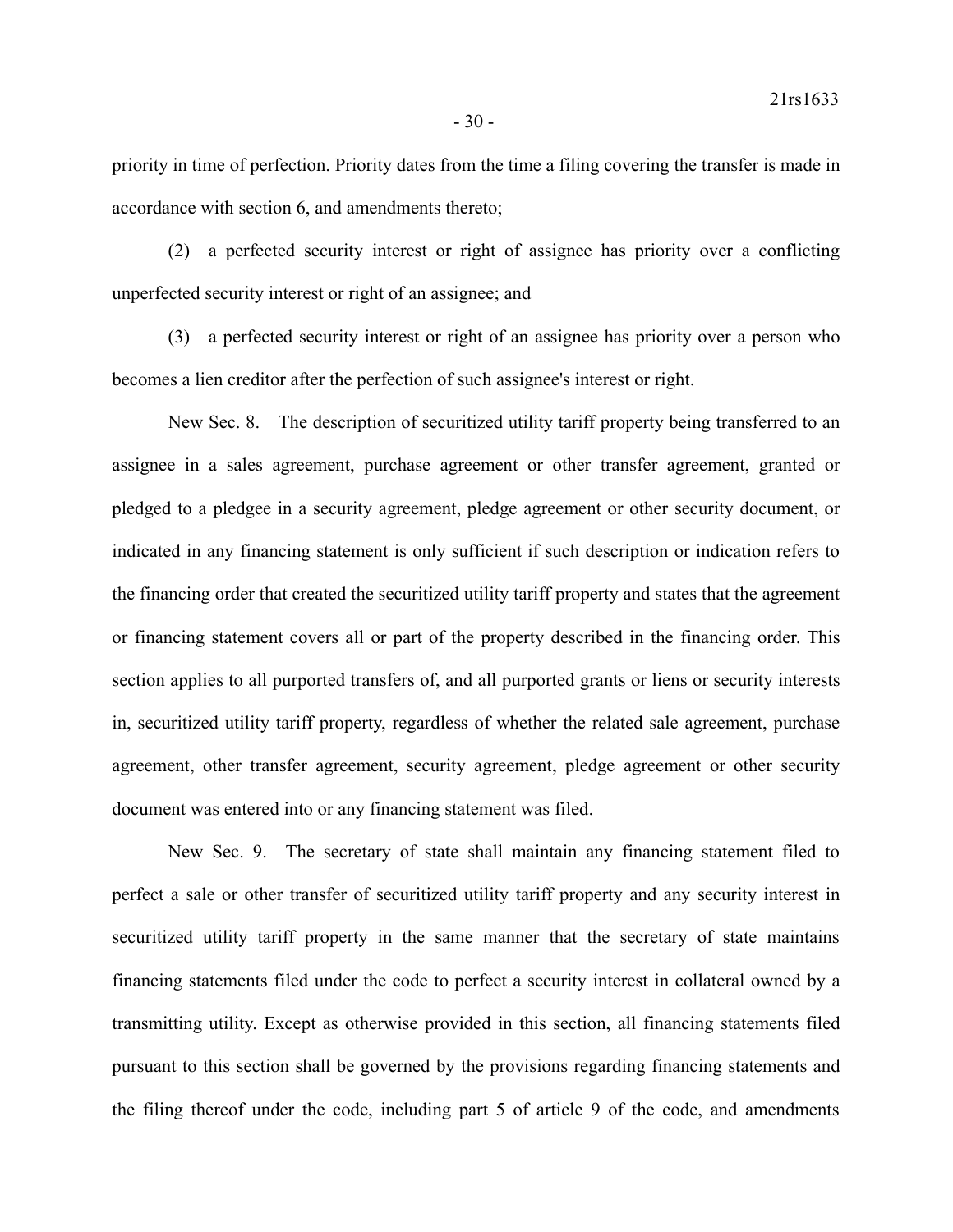priority in time of perfection. Priority dates from the time a filing covering the transfer is made in accordance with section 6, and amendments thereto;

(2) a perfected security interest or right of assignee has priority over a conflicting unperfected security interest or right of an assignee; and

(3) a perfected security interest or right of an assignee has priority over a person who becomes a lien creditor after the perfection of such assignee's interest or right.

New Sec. 8. The description of securitized utility tariff property being transferred to an assignee in a sales agreement, purchase agreement or other transfer agreement, granted or pledged to a pledgee in a security agreement, pledge agreement or other security document, or indicated in any financing statement is only sufficient if such description or indication refers to the financing order that created the securitized utility tariff property and states that the agreement or financing statement covers all or part of the property described in the financing order. This section applies to all purported transfers of, and all purported grants or liens or security interests in, securitized utility tariff property, regardless of whether the related sale agreement, purchase agreement, other transfer agreement, security agreement, pledge agreement or other security document was entered into or any financing statement was filed.

New Sec. 9. The secretary of state shall maintain any financing statement filed to perfect a sale or other transfer of securitized utility tariff property and any security interest in securitized utility tariff property in the same manner that the secretary of state maintains financing statements filed under the code to perfect a security interest in collateral owned by a transmitting utility. Except as otherwise provided in this section, all financing statements filed pursuant to this section shall be governed by the provisions regarding financing statements and the filing thereof under the code, including part 5 of article 9 of the code, and amendments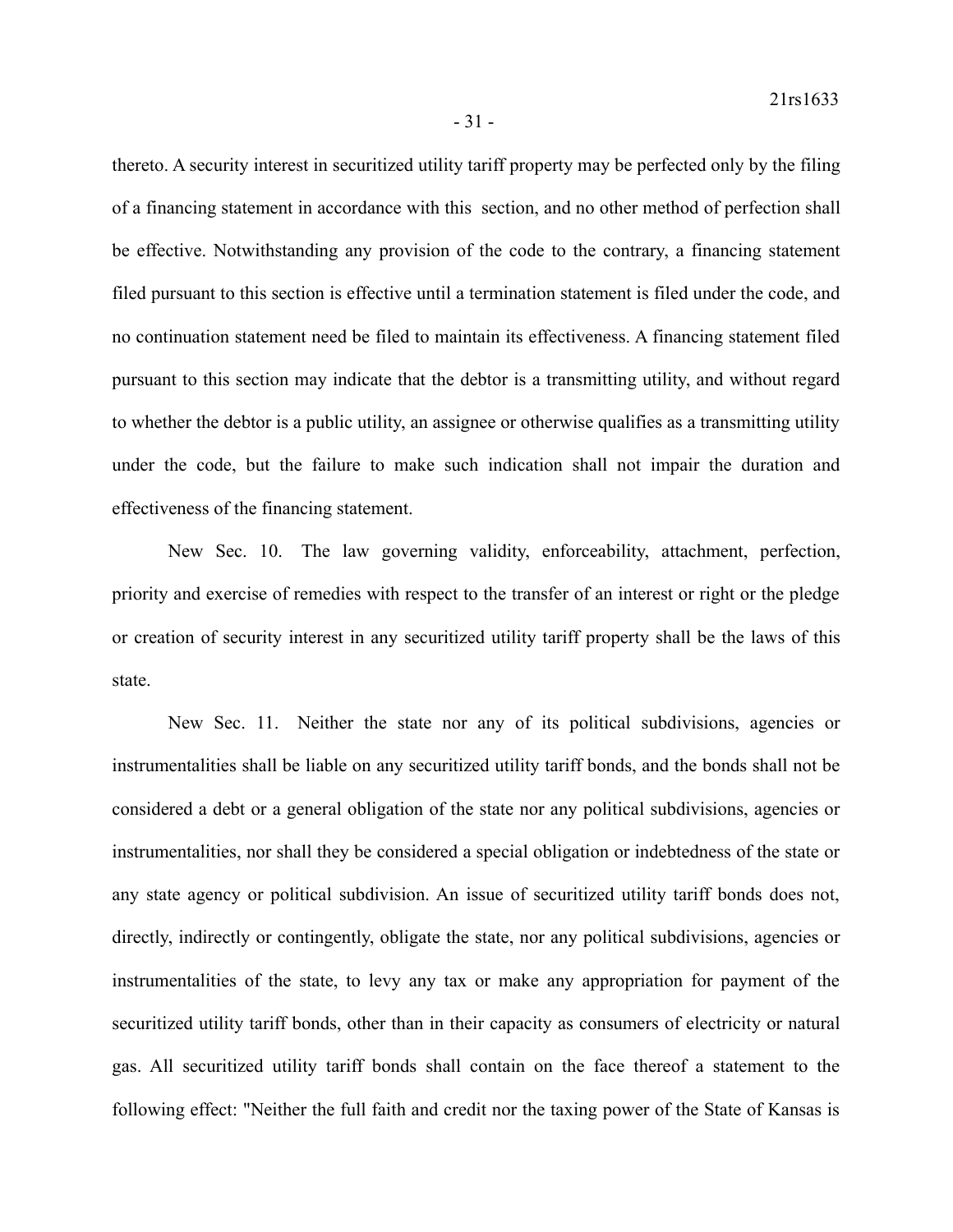thereto. A security interest in securitized utility tariff property may be perfected only by the filing of a financing statement in accordance with this section, and no other method of perfection shall be effective. Notwithstanding any provision of the code to the contrary, a financing statement filed pursuant to this section is effective until a termination statement is filed under the code, and no continuation statement need be filed to maintain its effectiveness. A financing statement filed pursuant to this section may indicate that the debtor is a transmitting utility, and without regard to whether the debtor is a public utility, an assignee or otherwise qualifies as a transmitting utility under the code, but the failure to make such indication shall not impair the duration and effectiveness of the financing statement.

New Sec. 10. The law governing validity, enforceability, attachment, perfection, priority and exercise of remedies with respect to the transfer of an interest or right or the pledge or creation of security interest in any securitized utility tariff property shall be the laws of this state.

New Sec. 11. Neither the state nor any of its political subdivisions, agencies or instrumentalities shall be liable on any securitized utility tariff bonds, and the bonds shall not be considered a debt or a general obligation of the state nor any political subdivisions, agencies or instrumentalities, nor shall they be considered a special obligation or indebtedness of the state or any state agency or political subdivision. An issue of securitized utility tariff bonds does not, directly, indirectly or contingently, obligate the state, nor any political subdivisions, agencies or instrumentalities of the state, to levy any tax or make any appropriation for payment of the securitized utility tariff bonds, other than in their capacity as consumers of electricity or natural gas. All securitized utility tariff bonds shall contain on the face thereof a statement to the following effect: "Neither the full faith and credit nor the taxing power of the State of Kansas is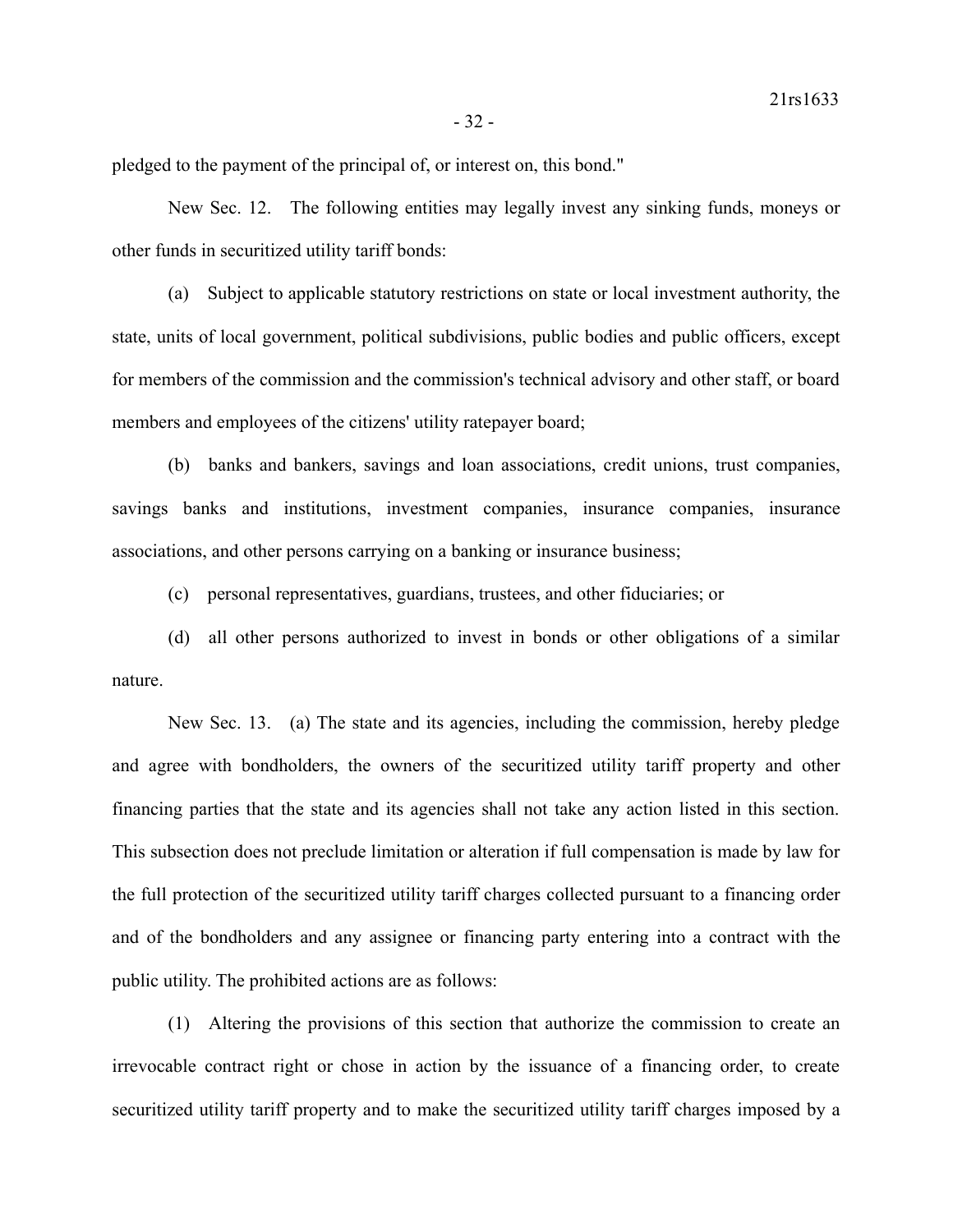pledged to the payment of the principal of, or interest on, this bond."

New Sec. 12. The following entities may legally invest any sinking funds, moneys or other funds in securitized utility tariff bonds:

(a) Subject to applicable statutory restrictions on state or local investment authority, the state, units of local government, political subdivisions, public bodies and public officers, except for members of the commission and the commission's technical advisory and other staff, or board members and employees of the citizens' utility ratepayer board;

(b) banks and bankers, savings and loan associations, credit unions, trust companies, savings banks and institutions, investment companies, insurance companies, insurance associations, and other persons carrying on a banking or insurance business;

(c) personal representatives, guardians, trustees, and other fiduciaries; or

(d) all other persons authorized to invest in bonds or other obligations of a similar nature.

New Sec. 13. (a) The state and its agencies, including the commission, hereby pledge and agree with bondholders, the owners of the securitized utility tariff property and other financing parties that the state and its agencies shall not take any action listed in this section. This subsection does not preclude limitation or alteration if full compensation is made by law for the full protection of the securitized utility tariff charges collected pursuant to a financing order and of the bondholders and any assignee or financing party entering into a contract with the public utility. The prohibited actions are as follows:

(1) Altering the provisions of this section that authorize the commission to create an irrevocable contract right or chose in action by the issuance of a financing order, to create securitized utility tariff property and to make the securitized utility tariff charges imposed by a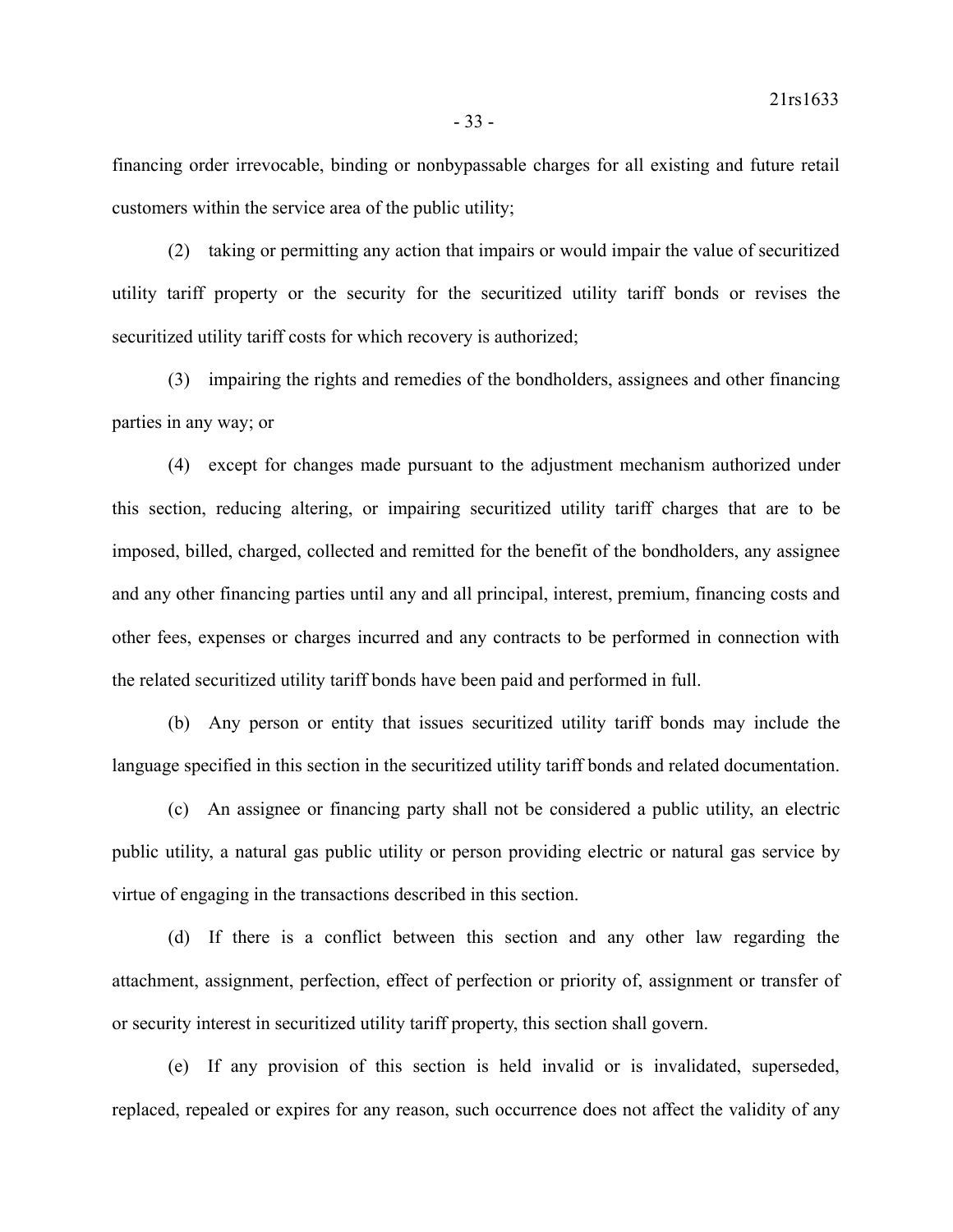financing order irrevocable, binding or nonbypassable charges for all existing and future retail customers within the service area of the public utility;

(2) taking or permitting any action that impairs or would impair the value of securitized utility tariff property or the security for the securitized utility tariff bonds or revises the securitized utility tariff costs for which recovery is authorized;

(3) impairing the rights and remedies of the bondholders, assignees and other financing parties in any way; or

(4) except for changes made pursuant to the adjustment mechanism authorized under this section, reducing altering, or impairing securitized utility tariff charges that are to be imposed, billed, charged, collected and remitted for the benefit of the bondholders, any assignee and any other financing parties until any and all principal, interest, premium, financing costs and other fees, expenses or charges incurred and any contracts to be performed in connection with the related securitized utility tariff bonds have been paid and performed in full.

(b) Any person or entity that issues securitized utility tariff bonds may include the language specified in this section in the securitized utility tariff bonds and related documentation.

(c) An assignee or financing party shall not be considered a public utility, an electric public utility, a natural gas public utility or person providing electric or natural gas service by virtue of engaging in the transactions described in this section.

(d) If there is a conflict between this section and any other law regarding the attachment, assignment, perfection, effect of perfection or priority of, assignment or transfer of or security interest in securitized utility tariff property, this section shall govern.

(e) If any provision of this section is held invalid or is invalidated, superseded, replaced, repealed or expires for any reason, such occurrence does not affect the validity of any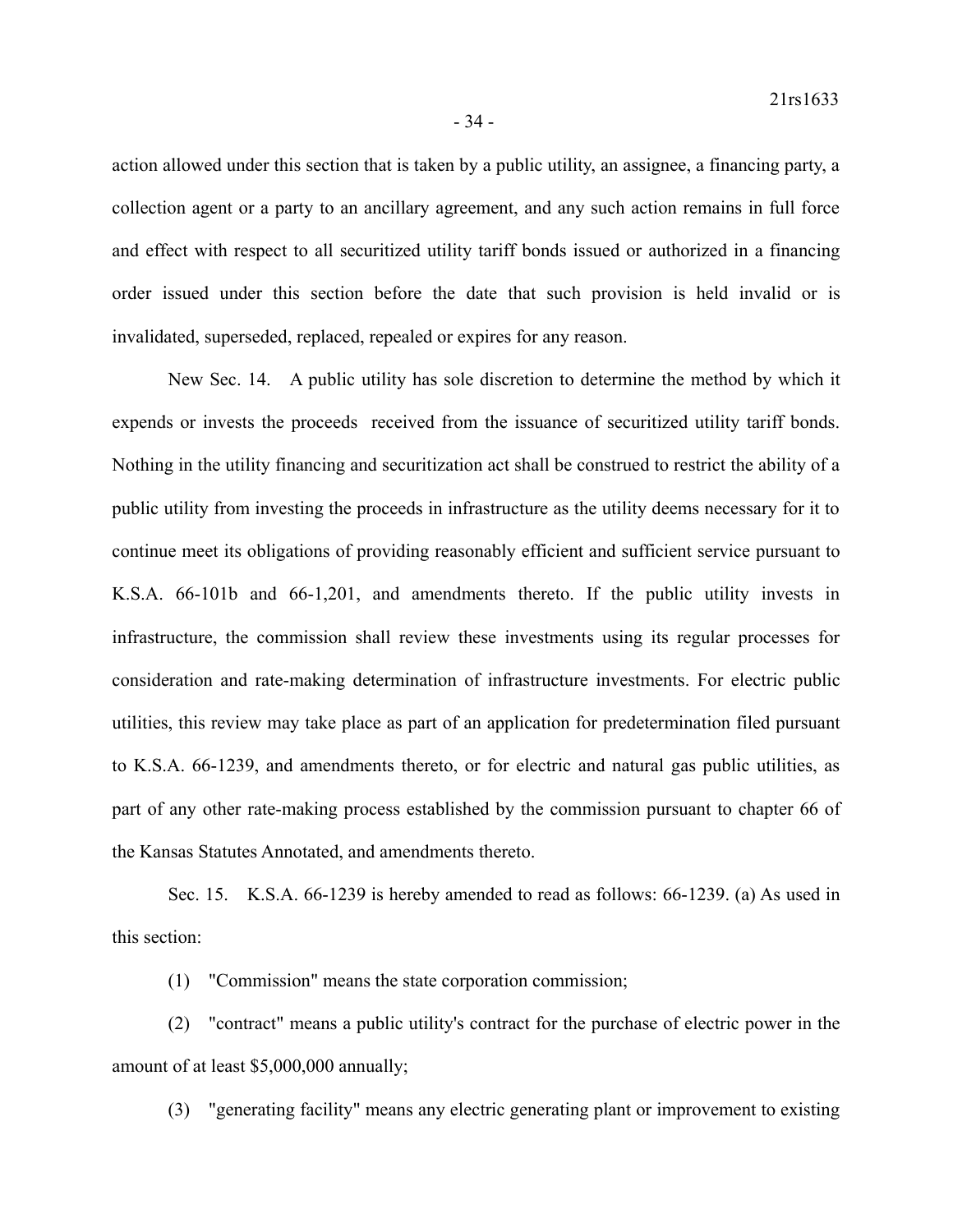action allowed under this section that is taken by a public utility, an assignee, a financing party, a collection agent or a party to an ancillary agreement, and any such action remains in full force and effect with respect to all securitized utility tariff bonds issued or authorized in a financing order issued under this section before the date that such provision is held invalid or is invalidated, superseded, replaced, repealed or expires for any reason.

New Sec. 14. A public utility has sole discretion to determine the method by which it expends or invests the proceeds received from the issuance of securitized utility tariff bonds. Nothing in the utility financing and securitization act shall be construed to restrict the ability of a public utility from investing the proceeds in infrastructure as the utility deems necessary for it to continue meet its obligations of providing reasonably efficient and sufficient service pursuant to K.S.A. 66-101b and 66-1,201, and amendments thereto. If the public utility invests in infrastructure, the commission shall review these investments using its regular processes for consideration and rate-making determination of infrastructure investments. For electric public utilities, this review may take place as part of an application for predetermination filed pursuant to K.S.A. 66-1239, and amendments thereto, or for electric and natural gas public utilities, as part of any other rate-making process established by the commission pursuant to chapter 66 of the Kansas Statutes Annotated, and amendments thereto.

Sec. 15. K.S.A. 66-1239 is hereby amended to read as follows: 66-1239. (a) As used in this section:

(1) "Commission" means the state corporation commission;

(2) "contract" means a public utility's contract for the purchase of electric power in the amount of at least \$5,000,000 annually;

(3) "generating facility" means any electric generating plant or improvement to existing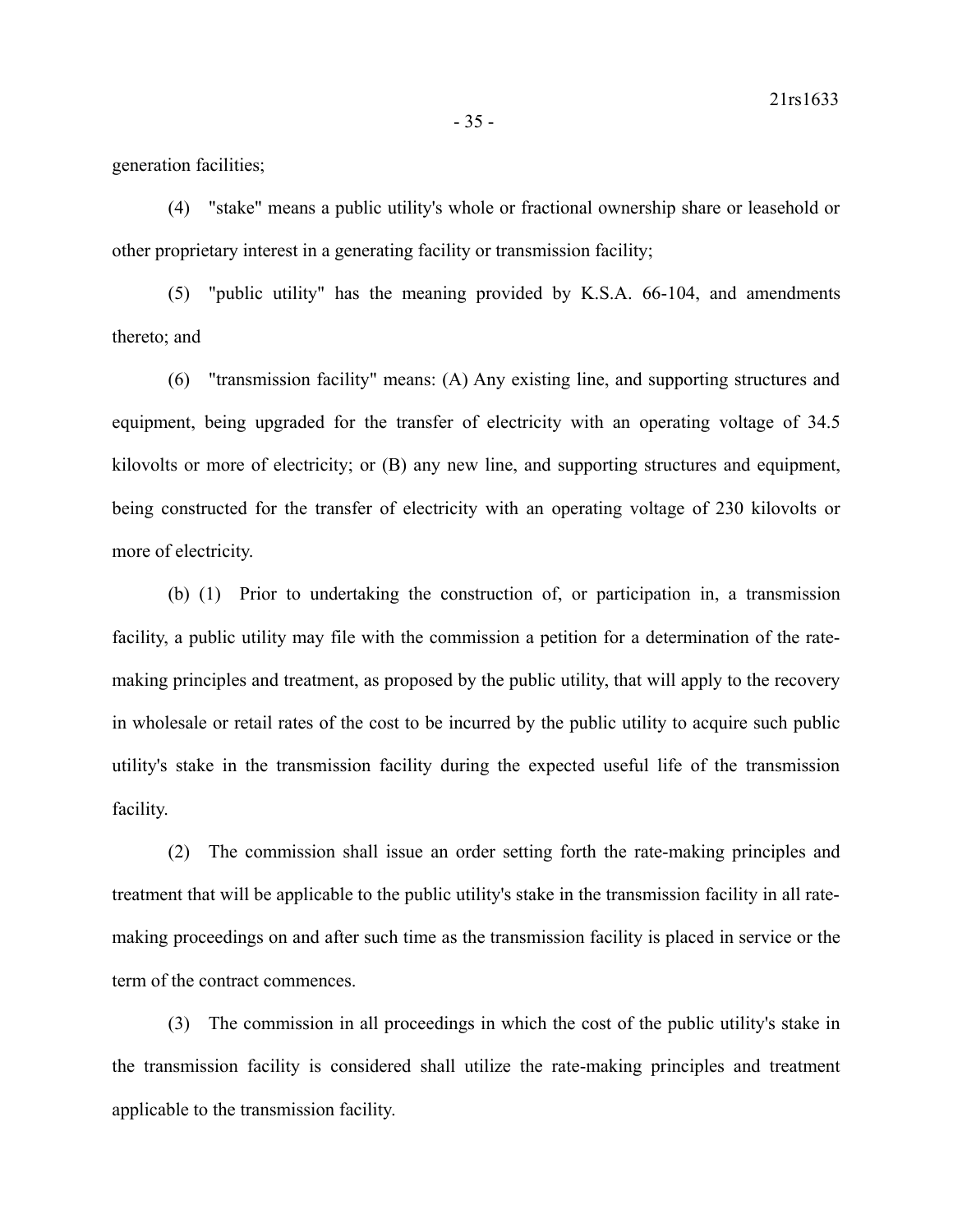generation facilities;

(4) "stake" means a public utility's whole or fractional ownership share or leasehold or other proprietary interest in a generating facility or transmission facility;

(5) "public utility" has the meaning provided by K.S.A. 66-104, and amendments thereto; and

(6) "transmission facility" means: (A) Any existing line, and supporting structures and equipment, being upgraded for the transfer of electricity with an operating voltage of 34.5 kilovolts or more of electricity; or (B) any new line, and supporting structures and equipment, being constructed for the transfer of electricity with an operating voltage of 230 kilovolts or more of electricity.

(b) (1) Prior to undertaking the construction of, or participation in, a transmission facility, a public utility may file with the commission a petition for a determination of the ratemaking principles and treatment, as proposed by the public utility, that will apply to the recovery in wholesale or retail rates of the cost to be incurred by the public utility to acquire such public utility's stake in the transmission facility during the expected useful life of the transmission facility.

(2) The commission shall issue an order setting forth the rate-making principles and treatment that will be applicable to the public utility's stake in the transmission facility in all ratemaking proceedings on and after such time as the transmission facility is placed in service or the term of the contract commences.

(3) The commission in all proceedings in which the cost of the public utility's stake in the transmission facility is considered shall utilize the rate-making principles and treatment applicable to the transmission facility.

- 35 -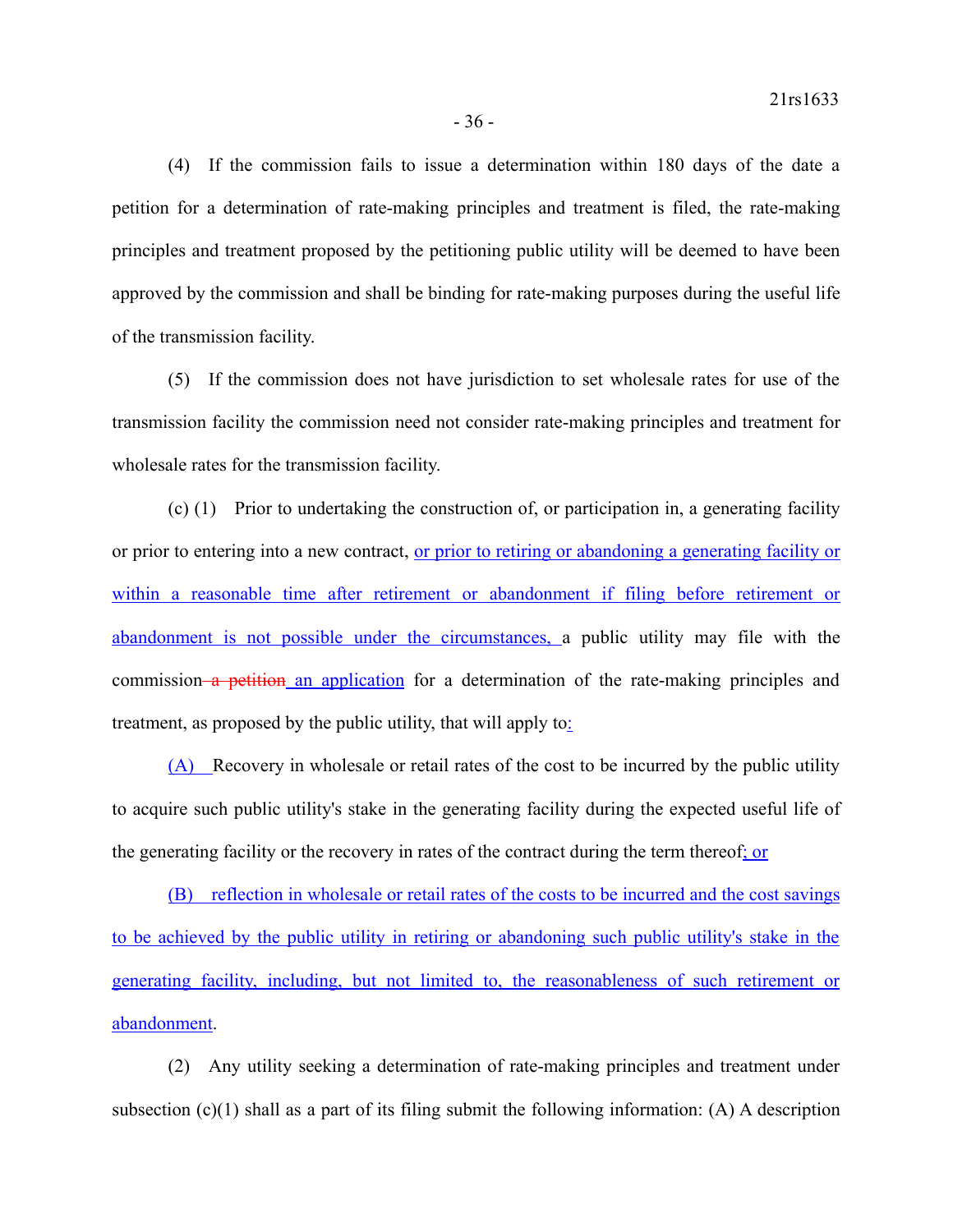(4) If the commission fails to issue a determination within 180 days of the date a petition for a determination of rate-making principles and treatment is filed, the rate-making principles and treatment proposed by the petitioning public utility will be deemed to have been approved by the commission and shall be binding for rate-making purposes during the useful life of the transmission facility.

(5) If the commission does not have jurisdiction to set wholesale rates for use of the transmission facility the commission need not consider rate-making principles and treatment for wholesale rates for the transmission facility.

(c) (1) Prior to undertaking the construction of, or participation in, a generating facility or prior to entering into a new contract, or prior to retiring or abandoning a generating facility or within a reasonable time after retirement or abandonment if filing before retirement or abandonment is not possible under the circumstances, a public utility may file with the commission a petition an application for a determination of the rate-making principles and treatment, as proposed by the public utility, that will apply to:

(A) Recovery in wholesale or retail rates of the cost to be incurred by the public utility to acquire such public utility's stake in the generating facility during the expected useful life of the generating facility or the recovery in rates of the contract during the term thereof; or

(B) reflection in wholesale or retail rates of the costs to be incurred and the cost savings to be achieved by the public utility in retiring or abandoning such public utility's stake in the generating facility, including, but not limited to, the reasonableness of such retirement or abandonment.

(2) Any utility seeking a determination of rate-making principles and treatment under subsection (c)(1) shall as a part of its filing submit the following information: (A) A description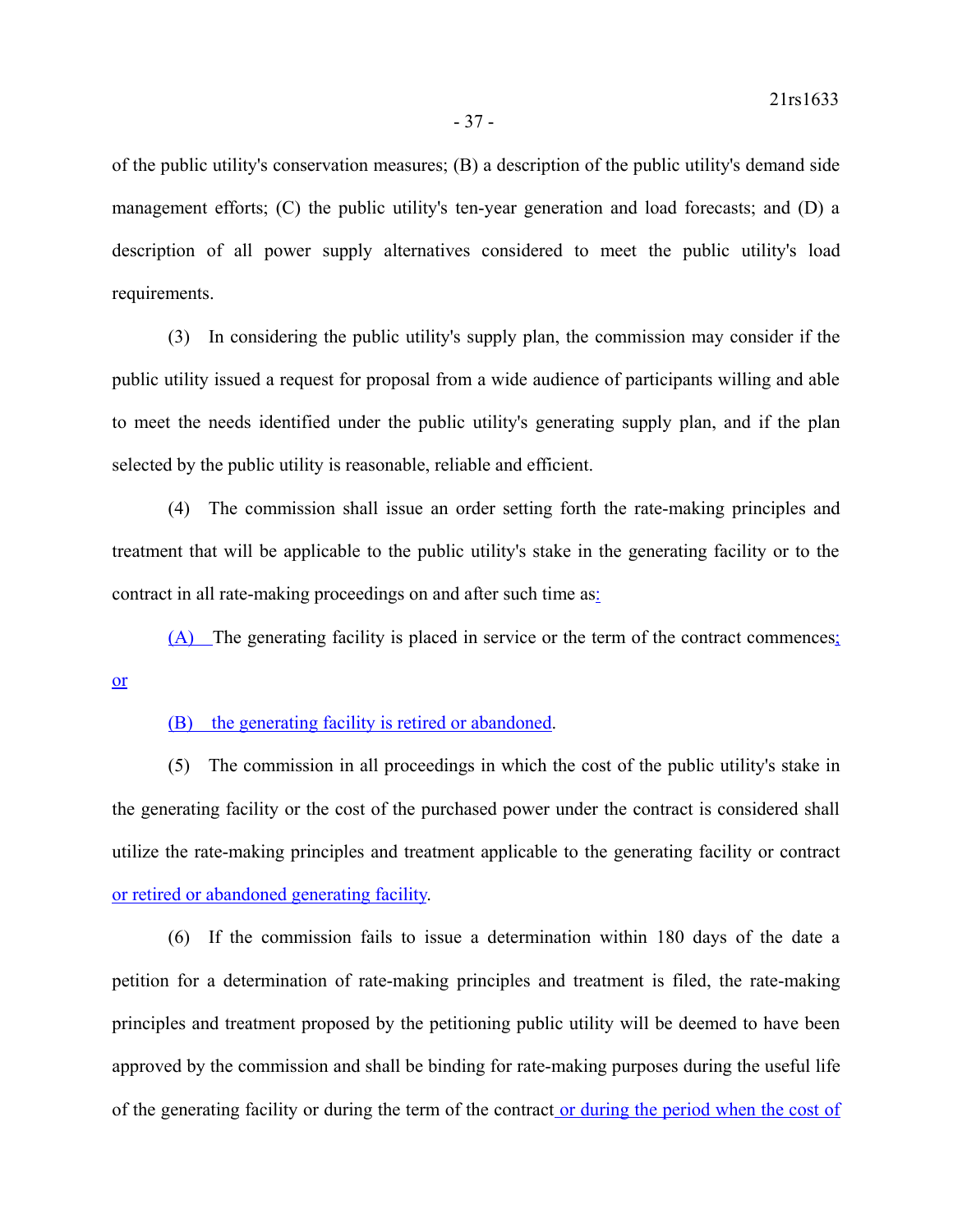of the public utility's conservation measures; (B) a description of the public utility's demand side management efforts; (C) the public utility's ten-year generation and load forecasts; and (D) a description of all power supply alternatives considered to meet the public utility's load requirements.

(3) In considering the public utility's supply plan, the commission may consider if the public utility issued a request for proposal from a wide audience of participants willing and able to meet the needs identified under the public utility's generating supply plan, and if the plan selected by the public utility is reasonable, reliable and efficient.

(4) The commission shall issue an order setting forth the rate-making principles and treatment that will be applicable to the public utility's stake in the generating facility or to the contract in all rate-making proceedings on and after such time as:

(A) The generating facility is placed in service or the term of the contract commences; or

(B) the generating facility is retired or abandoned.

(5) The commission in all proceedings in which the cost of the public utility's stake in the generating facility or the cost of the purchased power under the contract is considered shall utilize the rate-making principles and treatment applicable to the generating facility or contract or retired or abandoned generating facility.

(6) If the commission fails to issue a determination within 180 days of the date a petition for a determination of rate-making principles and treatment is filed, the rate-making principles and treatment proposed by the petitioning public utility will be deemed to have been approved by the commission and shall be binding for rate-making purposes during the useful life of the generating facility or during the term of the contract or during the period when the cost of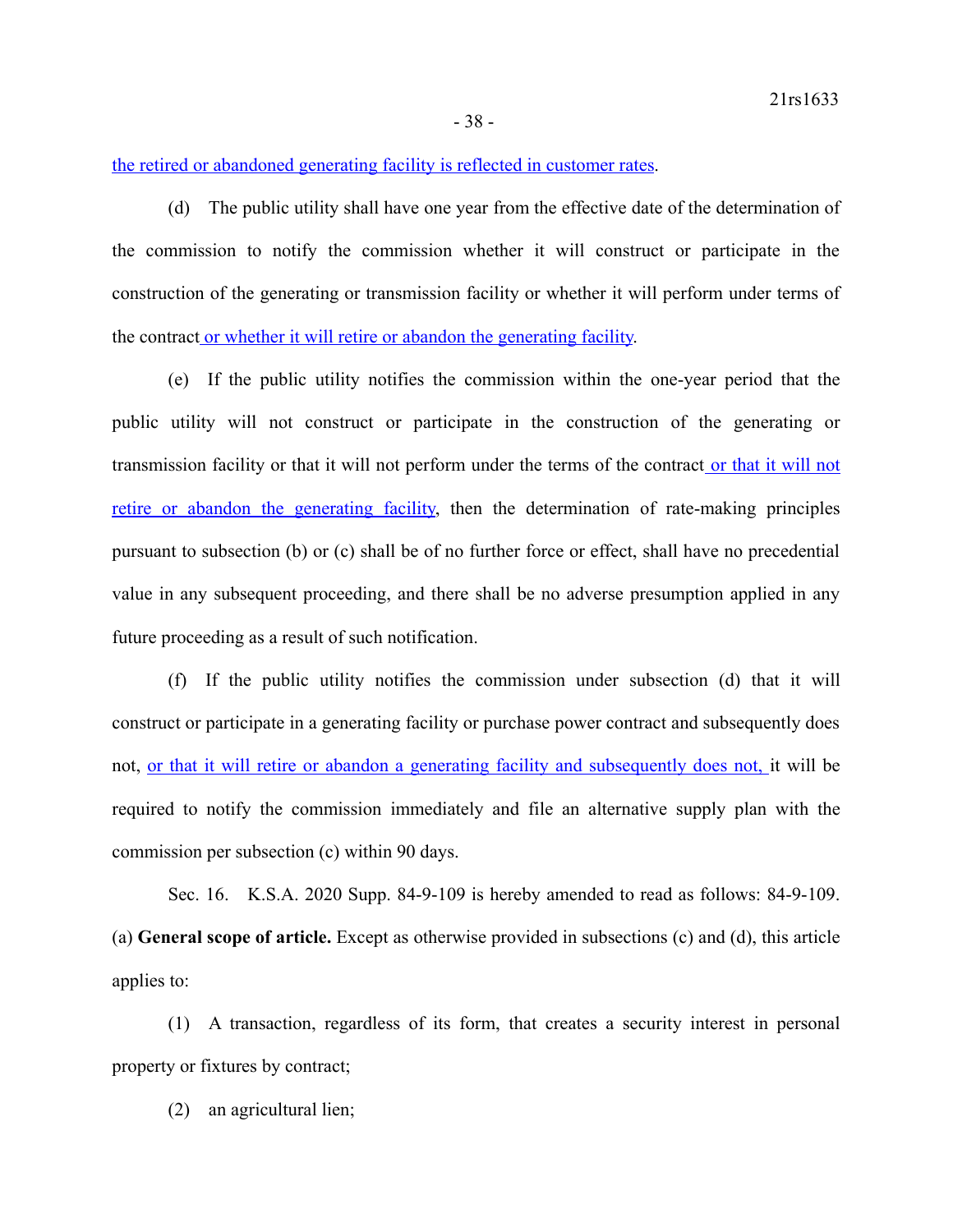the retired or abandoned generating facility is reflected in customer rates.

(d) The public utility shall have one year from the effective date of the determination of the commission to notify the commission whether it will construct or participate in the construction of the generating or transmission facility or whether it will perform under terms of the contract or whether it will retire or abandon the generating facility.

(e) If the public utility notifies the commission within the one-year period that the public utility will not construct or participate in the construction of the generating or transmission facility or that it will not perform under the terms of the contract or that it will not retire or abandon the generating facility, then the determination of rate-making principles pursuant to subsection (b) or (c) shall be of no further force or effect, shall have no precedential value in any subsequent proceeding, and there shall be no adverse presumption applied in any future proceeding as a result of such notification.

(f) If the public utility notifies the commission under subsection (d) that it will construct or participate in a generating facility or purchase power contract and subsequently does not, or that it will retire or abandon a generating facility and subsequently does not, it will be required to notify the commission immediately and file an alternative supply plan with the commission per subsection (c) within 90 days.

Sec. 16. K.S.A. 2020 Supp. 84-9-109 is hereby amended to read as follows: 84-9-109. (a) **General scope of article.** Except as otherwise provided in subsections (c) and (d), this article applies to:

(1) A transaction, regardless of its form, that creates a security interest in personal property or fixtures by contract;

(2) an agricultural lien;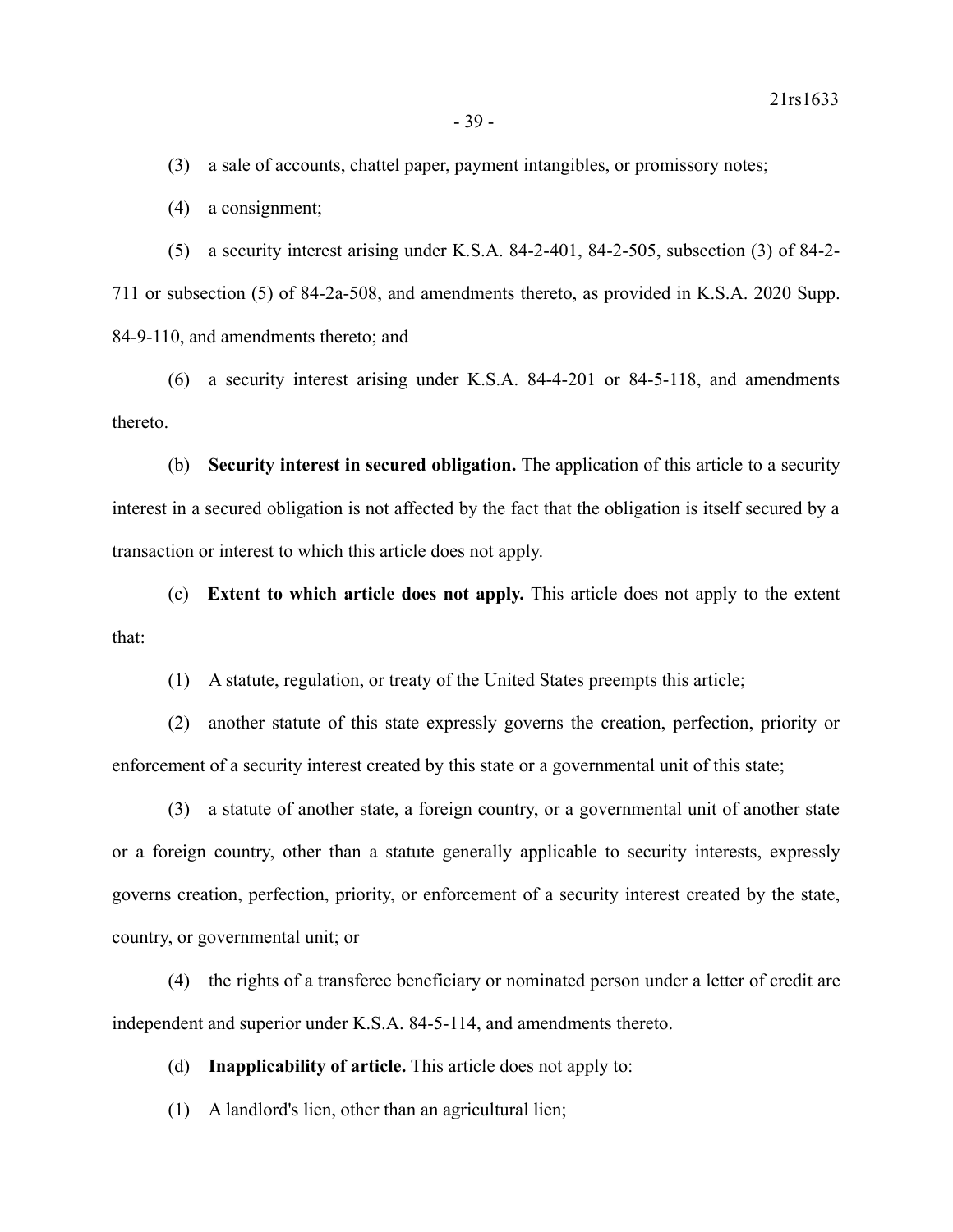(3) a sale of accounts, chattel paper, payment intangibles, or promissory notes;

(4) a consignment;

(5) a security interest arising under K.S.A. 84-2-401, 84-2-505, subsection (3) of 84-2- 711 or subsection (5) of 84-2a-508, and amendments thereto, as provided in K.S.A. 2020 Supp. 84-9-110, and amendments thereto; and

(6) a security interest arising under K.S.A. 84-4-201 or 84-5-118, and amendments thereto.

(b) **Security interest in secured obligation.** The application of this article to a security interest in a secured obligation is not affected by the fact that the obligation is itself secured by a transaction or interest to which this article does not apply.

(c) **Extent to which article does not apply.** This article does not apply to the extent that:

(1) A statute, regulation, or treaty of the United States preempts this article;

(2) another statute of this state expressly governs the creation, perfection, priority or enforcement of a security interest created by this state or a governmental unit of this state;

(3) a statute of another state, a foreign country, or a governmental unit of another state or a foreign country, other than a statute generally applicable to security interests, expressly governs creation, perfection, priority, or enforcement of a security interest created by the state, country, or governmental unit; or

(4) the rights of a transferee beneficiary or nominated person under a letter of credit are independent and superior under K.S.A. 84-5-114, and amendments thereto.

(d) **Inapplicability of article.** This article does not apply to:

(1) A landlord's lien, other than an agricultural lien;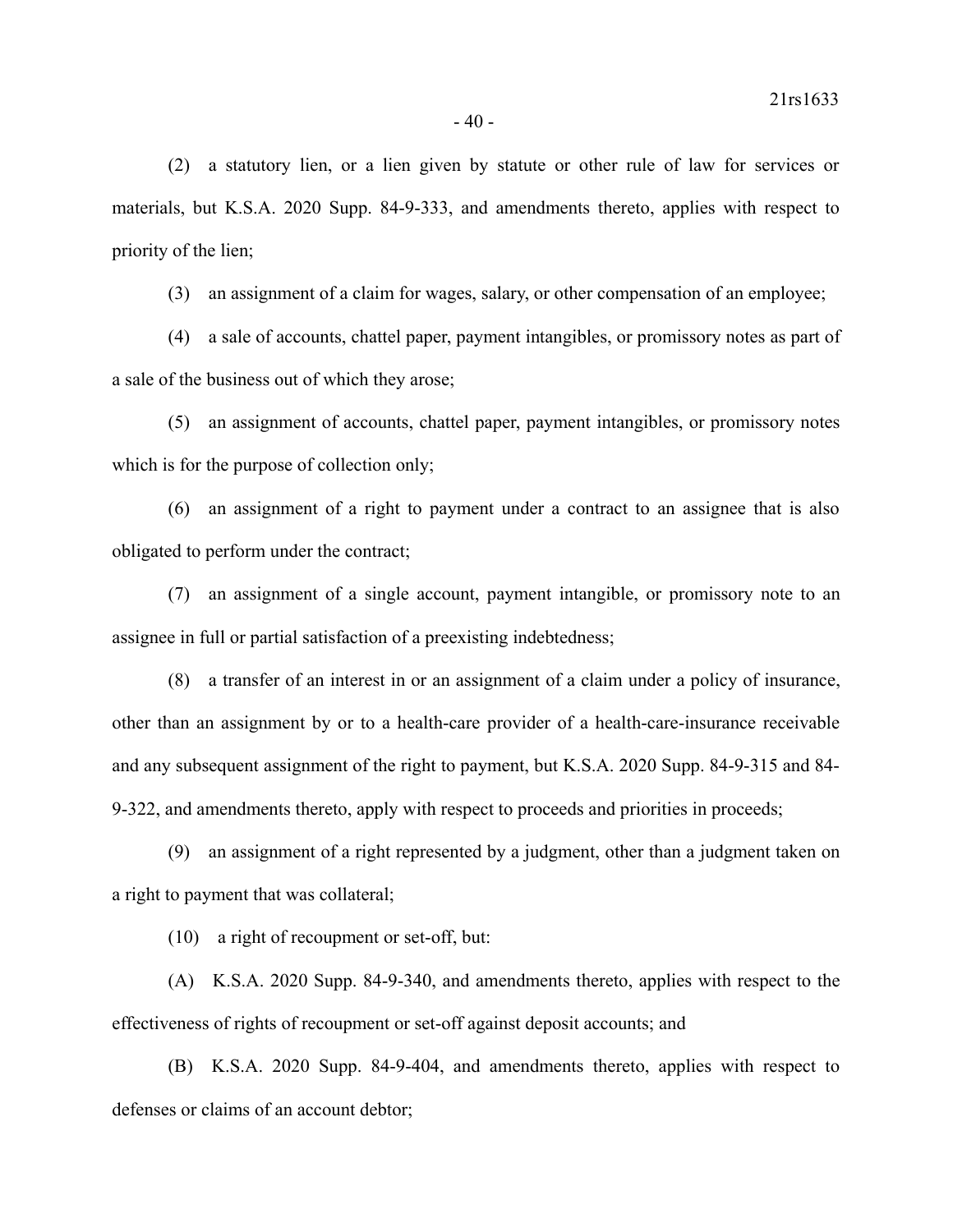(2) a statutory lien, or a lien given by statute or other rule of law for services or materials, but K.S.A. 2020 Supp. 84-9-333, and amendments thereto, applies with respect to priority of the lien;

(3) an assignment of a claim for wages, salary, or other compensation of an employee;

(4) a sale of accounts, chattel paper, payment intangibles, or promissory notes as part of a sale of the business out of which they arose;

(5) an assignment of accounts, chattel paper, payment intangibles, or promissory notes which is for the purpose of collection only;

(6) an assignment of a right to payment under a contract to an assignee that is also obligated to perform under the contract;

(7) an assignment of a single account, payment intangible, or promissory note to an assignee in full or partial satisfaction of a preexisting indebtedness;

(8) a transfer of an interest in or an assignment of a claim under a policy of insurance, other than an assignment by or to a health-care provider of a health-care-insurance receivable and any subsequent assignment of the right to payment, but K.S.A. 2020 Supp. 84-9-315 and 84- 9-322, and amendments thereto, apply with respect to proceeds and priorities in proceeds;

(9) an assignment of a right represented by a judgment, other than a judgment taken on a right to payment that was collateral;

(10) a right of recoupment or set-off, but:

(A) K.S.A. 2020 Supp. 84-9-340, and amendments thereto, applies with respect to the effectiveness of rights of recoupment or set-off against deposit accounts; and

(B) K.S.A. 2020 Supp. 84-9-404, and amendments thereto, applies with respect to defenses or claims of an account debtor;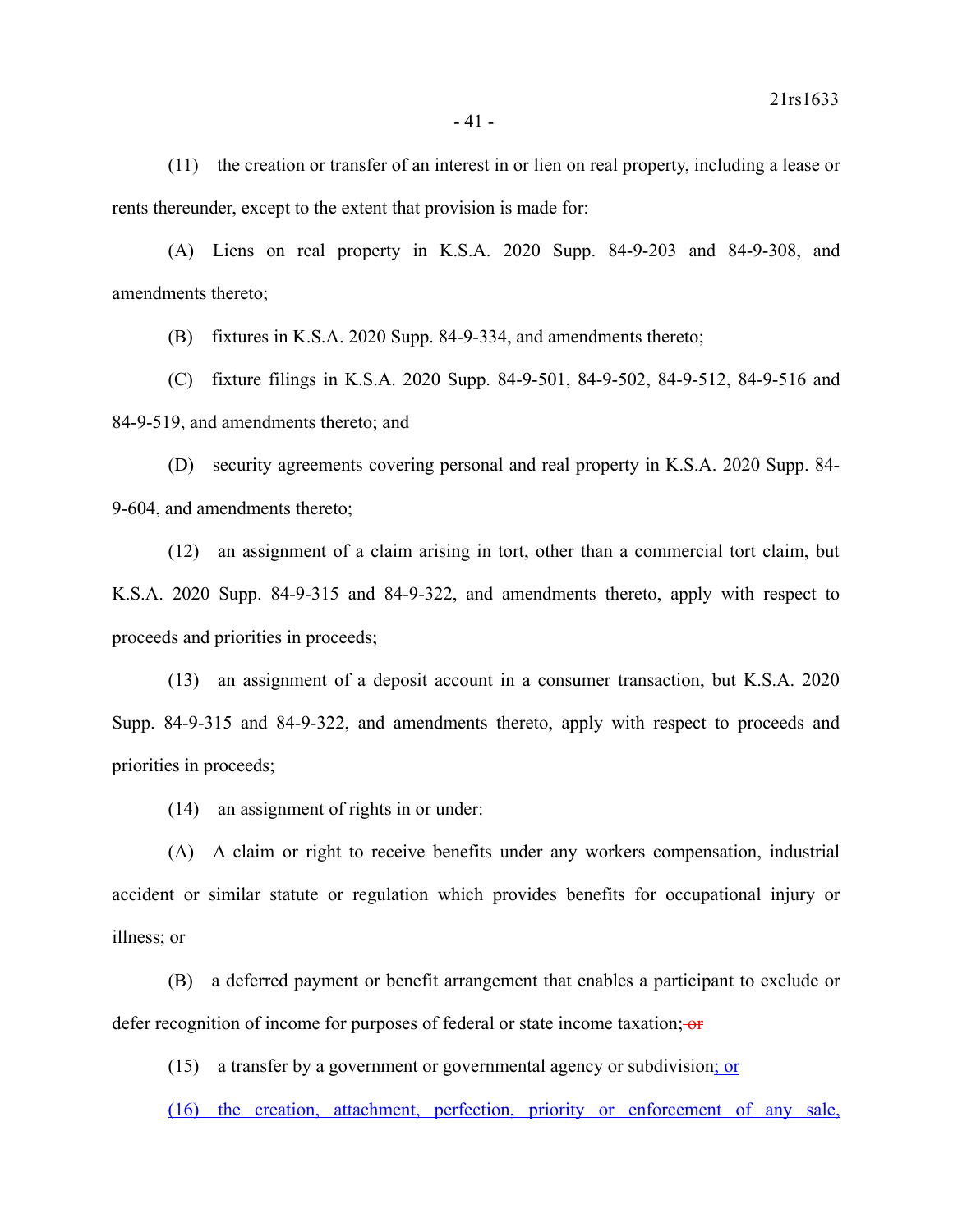(11) the creation or transfer of an interest in or lien on real property, including a lease or rents thereunder, except to the extent that provision is made for:

(A) Liens on real property in K.S.A. 2020 Supp. 84-9-203 and 84-9-308, and amendments thereto;

(B) fixtures in K.S.A. 2020 Supp. 84-9-334, and amendments thereto;

(C) fixture filings in K.S.A. 2020 Supp. 84-9-501, 84-9-502, 84-9-512, 84-9-516 and 84-9-519, and amendments thereto; and

(D) security agreements covering personal and real property in K.S.A. 2020 Supp. 84- 9-604, and amendments thereto;

(12) an assignment of a claim arising in tort, other than a commercial tort claim, but K.S.A. 2020 Supp. 84-9-315 and 84-9-322, and amendments thereto, apply with respect to proceeds and priorities in proceeds;

(13) an assignment of a deposit account in a consumer transaction, but K.S.A. 2020 Supp. 84-9-315 and 84-9-322, and amendments thereto, apply with respect to proceeds and priorities in proceeds;

(14) an assignment of rights in or under:

(A) A claim or right to receive benefits under any workers compensation, industrial accident or similar statute or regulation which provides benefits for occupational injury or illness; or

(B) a deferred payment or benefit arrangement that enables a participant to exclude or defer recognition of income for purposes of federal or state income taxation;  $\theta$ 

(15) a transfer by a government or governmental agency or subdivision; or

(16) the creation, attachment, perfection, priority or enforcement of any sale,